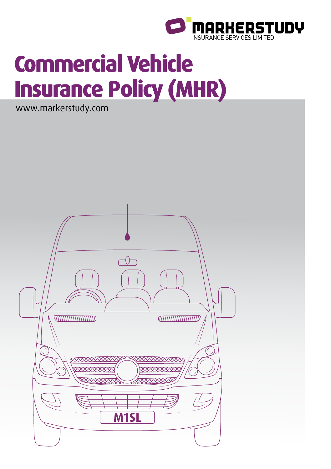

# **Commercial Vehicle Insurance Policy (MHR)**

www.markerstudy.com

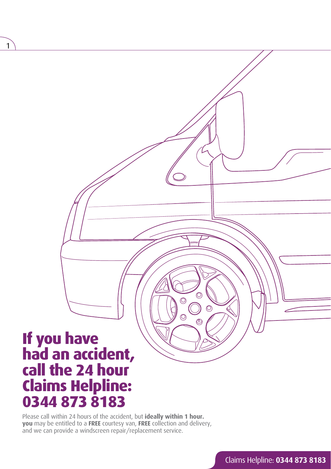# **If you have had an accident, call the 24 hour Claims Helpline: 0344 873 8183**

1

Please call within 24 hours of the accident, but **ideally within 1 hour. you** may be entitled to a **FREE** courtesy van, **FREE** collection and delivery, and we can provide a windscreen repair/replacement service.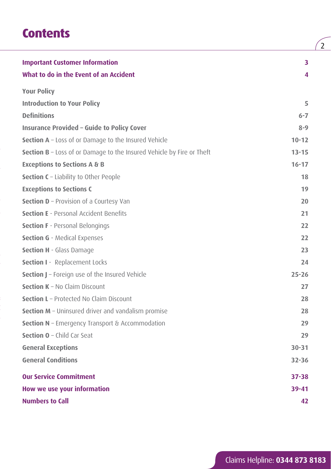## **Contents**

í

í

ׇ֚֘֝֬ í

 $\frac{1}{2}$ 

| <b>Important Customer Information</b>                                 | 3         |
|-----------------------------------------------------------------------|-----------|
| What to do in the Event of an Accident                                | 4         |
| <b>Your Policy</b>                                                    |           |
| <b>Introduction to Your Policy</b>                                    | 5         |
| <b>Definitions</b>                                                    | $6 - 7$   |
| <b>Insurance Provided - Guide to Policy Cover</b>                     | $8 - 9$   |
| Section A - Loss of or Damage to the Insured Vehicle                  | $10-12$   |
| Section B - Loss of or Damage to the Insured Vehicle by Fire or Theft | $13 - 15$ |
| <b>Exceptions to Sections A &amp; B</b>                               | $16 - 17$ |
| <b>Section C</b> - Liability to Other People                          | 18        |
| <b>Exceptions to Sections C</b>                                       | 19        |
| Section D - Provision of a Courtesy Van                               | 20        |
| <b>Section E</b> - Personal Accident Benefits                         | 21        |
| <b>Section F</b> - Personal Belongings                                | 22        |
| <b>Section G</b> - Medical Expenses                                   | 22        |
| <b>Section H</b> - Glass Damage                                       | 23        |
| <b>Section I</b> - Replacement Locks                                  | 24        |
| Section J - Foreign use of the Insured Vehicle                        | $25 - 26$ |
| <b>Section K - No Claim Discount</b>                                  | 27        |
| <b>Section L</b> - Protected No Claim Discount                        | 28        |
| <b>Section M</b> - Uninsured driver and vandalism promise             | 28        |
| Section N - Emergency Transport & Accommodation                       | 29        |
| <b>Section <math>0</math></b> – Child Car Seat                        | 29        |
| <b>General Exceptions</b>                                             | $30 - 31$ |
| <b>General Conditions</b>                                             | $32 - 36$ |
| <b>Our Service Commitment</b>                                         | $37 - 38$ |
| How we use your information                                           | $39 - 41$ |
| <b>Numbers to Call</b>                                                | 42        |

 $\sqrt{2}$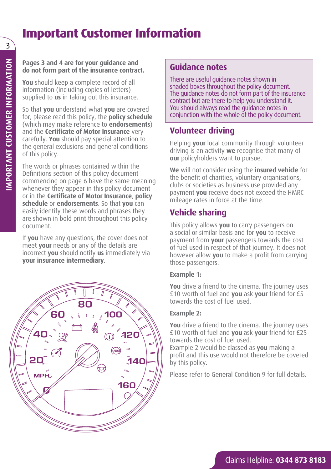# **Important Customer Information**

#### **Pages 3 and 4 are for your guidance and do not form part of the insurance contract.**

**You** should keep a complete record of all information (including copies of letters) supplied to **us** in taking out this insurance.

So that **you** understand what **you** are covered for, please read this policy, the **policy schedule** (which may make reference to **endorsements**) and the **Certificate of Motor Insurance** very carefully. **You** should pay special attention to the general exclusions and general conditions of this policy.

The words or phrases contained within the Definitions section of this policy document commencing on page 6 have the same meaning whenever they appear in this policy document or in the **Certificate of Motor Insurance**, **policy schedule** or **endorsements**. So that **you** can easily identify these words and phrases they are shown in bold print throughout this policy document.

If **you** have any questions, the cover does not meet **your** needs or any of the details are incorrect **you** should notify **us** immediately via **your insurance intermediary**.



#### **Guidance notes**

There are useful guidance notes shown in shaded boxes throughout the policy document. The guidance notes do not form part of the insurance contract but are there to help you understand it. You should always read the quidance notes in conjunction with the whole of the policy document.

#### **Volunteer driving**

Helping **your** local community through volunteer driving is an activity **we** recognise that many of **our** policyholders want to pursue.

**We** will not consider using the **insured vehicle** for the benefit of charities, voluntary organisations, clubs or societies as business use provided any payment **you** receive does not exceed the HMRC mileage rates in force at the time.

#### **Vehicle sharing**

This policy allows **you** to carry passengers on a social or similar basis and for **you** to receive payment from **your** passengers towards the cost of fuel used in respect of that journey. It does not however allow **you** to make a profit from carrying those passengers.

#### **Example 1:**

**You** drive a friend to the cinema. The journey uses £10 worth of fuel and **you** ask **your** friend for £5 towards the cost of fuel used.

#### **Example 2:**

**You** drive a friend to the cinema. The journey uses £10 worth of fuel and **you** ask **your** friend for £25 towards the cost of fuel used.

Example 2 would be classed as **you** making a profit and this use would not therefore be covered by this policy.

Please refer to General Condition 9 for full details.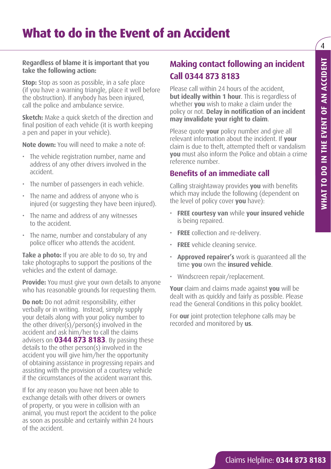# **What to do in the Event of an Accident**

#### **Regardless of blame it is important that you take the following action:**

**Stop:** Stop as soon as possible, in a safe place (if you have a warning triangle, place it well before the obstruction). If anybody has been injured, call the police and ambulance service.

**Sketch:** Make a quick sketch of the direction and final position of each vehicle (it is worth keeping a pen and paper in your vehicle).

**Note down:** You will need to make a note of:

- The vehicle registration number, name and address of any other drivers involved in the accident.
- The number of passengers in each vehicle.
- The name and address of anyone who is injured (or suggesting they have been injured).
- The name and address of any witnesses to the accident.
- The name, number and constabulary of any police officer who attends the accident.

**Take a photo:** If you are able to do so, try and take photographs to support the positions of the vehicles and the extent of damage.

**Provide:** You must give your own details to anyone who has reasonable grounds for requesting them.

**Do not:** Do not admit responsibility, either verbally or in writing. Instead, simply supply your details along with your policy number to the other driver(s)/person(s) involved in the accident and ask him/her to call the claims advisers on **0344 873 8183**. By passing these details to the other person(s) involved in the accident you will give him/her the opportunity of obtaining assistance in progressing repairs and assisting with the provision of a courtesy vehicle if the circumstances of the accident warrant this.

If for any reason you have not been able to exchange details with other drivers or owners of property, or you were in collision with an animal, you must report the accident to the police as soon as possible and certainly within 24 hours of the accident.

#### **Making contact following an incident Call 0344 873 8183**

Please call within 24 hours of the accident, **but ideally within 1 hour**. This is regardless of whether **you** wish to make a claim under the policy or not. **Delay in notification of an incident may invalidate your right to claim**.

Please quote **your** policy number and give all relevant information about the incident. If **your**  claim is due to theft, attempted theft or vandalism **you** must also inform the Police and obtain a crime reference number.

#### **Benefits of an immediate call**

Calling straightaway provides **you** with benefits which may include the following (dependent on the level of policy cover **you** have):

- **FREE courtesy van** while **your insured vehicle** is being repaired.
- **FREE** collection and re-delivery.
- **FREE** vehicle cleaning service.
- **Approved repairer's** work is guaranteed all the time **you** own the **insured vehicle**.
- Windscreen repair/replacement.

**Your** claim and claims made against **you** will be dealt with as quickly and fairly as possible. Please read the General Conditions in this policy booklet.

For **our** joint protection telephone calls may be recorded and monitored by **us**.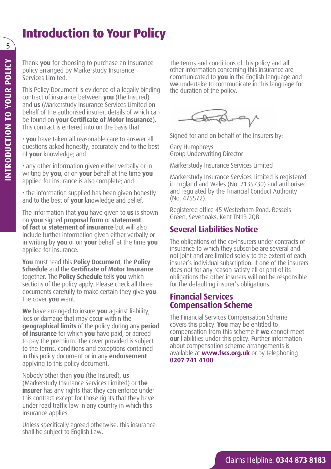# **Introduction to Your Policy**

Thank **you** for choosing to purchase an Insurance policy arranged by Markerstudy Insurance Services Limited.

This Policy Document is evidence of a legally binding contract of insurance between **you** (the Insured) and **us** (Markerstudy Insurance Services Limited on behalf of the authorised insurer, details of which can be found on **your Certificate of Motor Insurance**). This contract is entered into on the basis that:

• **you** have taken all reasonable care to answer all questions asked honestly, accurately and to the best of **your** knowledge; and

• any other information given either verbally or in writing by **you**, or on **your** behalf at the time **you** applied for insurance is also complete; and

• the information supplied has been given honestly and to the best of **your** knowledge and belief.

The information that **you** have given to **us** is shown on **your** signed **proposal form** or **statement of fact** or **statement of insurance** but will also include further information given either verbally or in writing by **you** or on **your** behalf at the time **you** applied for insurance.

**You** must read this **Policy Document**, the **Policy Schedule** and the **Certificate of Motor Insurance** together. The **Policy Schedule** tells **you** which sections of the policy apply. Please check all three documents carefully to make certain they give **you** the cover **you** want.

**We** have arranged to insure **you** against liability, loss or damage that may occur within the **geographical limits** of the policy during any **period of insurance** for which **you** have paid, or agreed to pay the premium. The cover provided is subject to the terms, conditions and exceptions contained in this policy document or in any **endorsement** applying to this policy document.

Nobody other than **you** (the Insured), **us**  (Markerstudy Insurance Services Limited) or **the insurer** has any rights that they can enforce under this contract except for those rights that they have under road traffic law in any country in which this insurance applies.

Unless specifically agreed otherwise, this insurance shall be subject to English Law.

The terms and conditions of this policy and all other information concerning this insurance are communicated to **you** in the English language and **we** undertake to communicate in this language for the duration of the policy.

Completey

Signed for and on behalf of the Insurers by:

Gary Humphreys Group Underwriting Director

Markerstudy Insurance Services Limited

Markerstudy Insurance Services Limited is registered in England and Wales (No. 2135730) and authorised and regulated by the Financial Conduct Authority (No. 475572).

Registered office 45 Westerham Road, Bessels Green, Sevenoaks, Kent TN13 2QB

#### **Several Liabilities Notice**

The obligations of the co-insurers under contracts of insurance to which they subscribe are several and not joint and are limited solely to the extent of each insurer's individual subscription. If one of the insurers does not for any reason satisfy all or part of its obligations the other insurers will not be responsible for the defaulting insurer's obligations.

#### **Financial Services Compensation Scheme**

The Financial Services Compensation Scheme covers this policy. **You** may be entitled to compensation from this scheme if **we** cannot meet **our** liabilities under this policy. Further information about compensation scheme arrangements is available at **www.fscs.org.uk** or by telephoning **0207 741 4100**.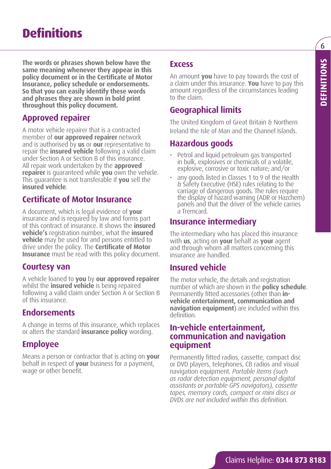# **Definitions**

**The words or phrases shown below have the same meaning whenever they appear in this policy document or in the Certificate of Motor Insurance, policy schedule or endorsements. So that you can easily identify these words and phrases they are shown in bold print throughout this policy document.**

#### **Approved repairer**

A motor vehicle repairer that is a contracted member of **our approved repairer** network and is authorised by **us** or **our** representative to repair the **insured vehicle** following a valid claim under Section A or Section B of this insurance. All repair work undertaken by the **approved repairer** is guaranteed while **you** own the vehicle. This guarantee is not transferable if **you** sell the **insured vehicle**.

#### **Certificate of Motor Insurance**

A document, which is legal evidence of **your** insurance and is required by law and forms part of this contract of insurance. It shows the **insured vehicle's** registration number, what the **insured vehicle** may be used for and persons entitled to drive under the policy. The **Certificate of Motor Insurance** must be read with this policy document.

#### **Courtesy van**

A vehicle loaned to **you** by **our approved repairer** whilst the **insured vehicle** is being repaired following a valid claim under Section A or Section B of this insurance.

#### **Endorsements**

A change in terms of this insurance, which replaces or alters the standard **insurance policy** wording.

#### **Employee**

Means a person or contractor that is acting on **your** behalf in respect of **your** business for a payment, wage or other benefit.

#### **Excess**

An amount **you** have to pay towards the cost of a claim under this insurance. **You** have to pay this amount regardless of the circumstances leading to the claim.

#### **Geographical limits**

The United Kingdom of Great Britain & Northern Ireland the Isle of Man and the Channel Islands.

#### **Hazardous goods**

- Petrol and liquid petroleum gas transported in bulk, explosives or chemicals of a volatile, explosive, corrosive or toxic nature; and/or
- any goods listed in Classes 1 to 9 of the Health & Safety Executive (HSE) rules relating to the carriage of dangerous goods. The rules require the display of hazard warning (ADR or Hazchem) panels and that the driver of the vehicle carries a Tremcard.

#### **Insurance intermediary**

The intermediary who has placed this insurance with **us**, acting on **your** behalf as **your** agent and through whom all matters concerning this insurance are handled.

#### **Insured vehicle**

The motor vehicle, the details and registration number of which are shown in the **policy schedule**. Permanently fitted accessories (other than **invehicle entertainment, communication and navigation equipment**) are included within this definition.

#### **In-vehicle entertainment, communication and navigation equipment**

Permanently fitted radios, cassette, compact disc or DVD players, telephones, CB radios and visual navigation equipment. *Portable items (such as radar detection equipment, personal digital assistants or portable GPS navigators), cassette tapes, memory cards, compact or mini discs or DVDs are not included within this definition.*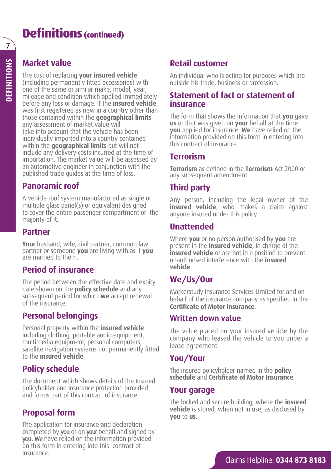### **Definitions** (continued)

#### **Market value**

The cost of replacing **your insured vehicle** (including permanently fitted accessories) with one of the same or similar make, model, year, mileage and condition which applied immediately before any loss or damage. If the **insured vehicle** was first registered as new in a country other than those contained within the **geographical limits** any assessment of market value will take into account that the vehicle has been individually imported into a country contained within the **geographical limits** but will not include any delivery costs incurred at the time of importation. The market value will be assessed by an automotive engineer in conjunction with the published trade guides at the time of loss.

#### **Panoramic roof**

A vehicle roof system manufactured as single or multiple glass panel(s) or equivalent designed to cover the entire passenger compartment or the majority of it.

#### **Partner**

**Your** husband, wife, civil partner, common law partner or someone **you** are living with as if **you** are married to them.

#### **Period of insurance**

The period between the effective date and expiry date shown on the **policy schedule** and any subsequent period for which **we** accept renewal of the insurance.

#### **Personal belongings**

Personal property within the **insured vehicle** including clothing, portable audio equipment, multimedia equipment, personal computers, satellite navigation systems not permanently fitted to the **insured vehicle**.

#### **Policy schedule**

The document which shows details of the Insured policyholder and insurance protection provided and forms part of this contract of insurance.

#### **Proposal form**

The application for insurance and declaration completed by you or on your behalf and signed by you. We have relied on the information provided on this form in entering into this contract of insurance.

#### **Retail customer**

An individual who is acting for purposes which are outside his trade, business or profession.

#### **Statement of fact or statement of insurance**

The form that shows the information that **you** gave **us** or that was given on **your** behalf at the time **you** applied for insurance. **We** have relied on the information provided on this form in entering into this contract of insurance.

#### **Terrorism**

**Terrorism** as defined in the **Terrorism** Act 2000 or any subsequent amendment.

#### **Third party**

Any person, including the legal owner of the **insured vehicle**, who makes a claim against anyone insured under this policy.

#### **Unattended**

Where **you** or no person authorised by **you** are present in the **insured vehicle**, in charge of the **insured vehicle** or are not in a position to prevent unauthorised interference with the **insured vehicle**.

#### **We/Us/Our**

Markerstudy Insurance Services Limited for and on behalf of the insurance company as specified in the **Certificate of Motor Insurance**.

#### **Written down value**

The value placed on your insured vehicle by the company who leased the vehicle to you under a lease agreement.

#### **You/Your**

The insured policyholder named in the **policy schedule** and **Certificate of Motor Insurance**.

#### **Your garage**

The locked and secure building, where the **insured vehicle** is stored, when not in use, as disclosed by **you** to **us**.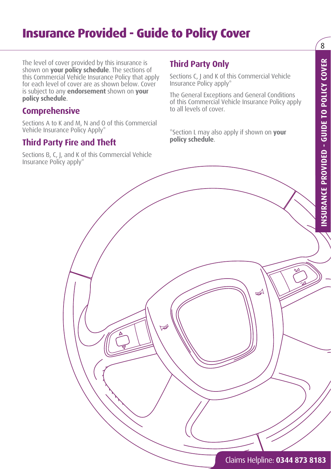# **Insurance Provided - Guide to Policy Cover**

The level of cover provided by this insurance is shown on **your policy schedule**. The sections of this Commercial Vehicle Insurance Policy that apply for each level of cover are as shown below. Cover is subject to any **endorsement** shown on **your policy schedule**.

#### **Comprehensive**

Sections A to K and M, N and O of this Commercial Vehicle Insurance Policy Apply\*

#### **Third Party Fire and Theft**

Sections B, C, J, and K of this Commercial Vehicle Insurance Policy apply\*

#### **Third Party Only**

Sections C, J and K of this Commercial Vehicle Insurance Policy apply\*

The General Exceptions and General Conditions of this Commercial Vehicle Insurance Policy apply to all levels of cover.

\*Section L may also apply if shown on **your policy schedule**.

# Claims Helpline: **0344 873 8183** Claims Helpline: **0344 873 8183**

 $\mathbb{A}$ 

 $\mathbf{8}$ INSURANCE PROVIDED - GUIDE TO POLICY COVER **INSURANCE PROVIDED - GUIDE TO POLICY COVER**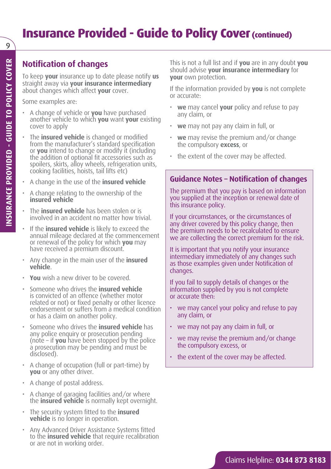# **Insurance Provided - Guide to Policy Cover (continued)**

#### **Notification of changes**

To keep **your** insurance up to date please notify **us** straight away via **your insurance intermediary** about changes which affect **your** cover.

Some examples are:

- A change of vehicle or **you** have purchased another vehicle to which **you** want **your** existing cover to apply
- The **insured vehicle** is changed or modified from the manufacturer's standard specification or **you** intend to change or modify it (including the addition of optional fit accessories such as spoilers, skirts, alloy wheels, refrigeration units, cooking facilities, hoists, tail lifts etc)
- A change in the use of the **insured vehicle**
- A change relating to the ownership of the **insured vehicle**
- The **insured vehicle** has been stolen or is involved in an accident no matter how trivial.
- If the **insured vehicle** is likely to exceed the annual mileage declared at the commencement or renewal of the policy for which **you** may have received a premium discount.
- Any change in the main user of the **insured vehicle**.
- **You** wish a new driver to be covered.
- Someone who drives the **insured vehicle** is convicted of an offence (whether motor related or not) or fixed penalty or other licence endorsement or suffers from a medical condition or has a claim on another policy.
- Someone who drives the **insured vehicle** has any police enquiry or prosecution pending (note – if **you** have been stopped by the police a prosecution may be pending and must be disclosed).
- A change of occupation (full or part-time) by **you** or any other driver.
- A change of postal address.
- A change of garaging facilities and/or where the **insured vehicle** is normally kept overnight.
- The security system fitted to the **insured vehicle** is no longer in operation.
- Any Advanced Driver Assistance Systems fitted to the **insured vehicle** that require recalibration or are not in working order.

This is not a full list and if **you** are in any doubt **you**  should advise **your insurance intermediary** for **your** own protection.

If the information provided by **you** is not complete or accurate:

- **we** may cancel **your** policy and refuse to pay any claim, or
- **we** may not pay any claim in full, or
- **we** may revise the premium and/or change the compulsory **excess**, or
- the extent of the cover may be affected.

#### **Guidance Notes – Notification of changes**

The premium that you pay is based on information you supplied at the inception or renewal date of this insurance policy.

If your circumstances, or the circumstances of any driver covered by this policy change, then the premium needs to be recalculated to ensure we are collecting the correct premium for the risk.

It is important that you notify your insurance intermediary immediately of any changes such as those examples given under Notification of changes.

If you fail to supply details of changes or the information supplied by you is not complete or accurate then:

- we may cancel your policy and refuse to pay any claim, or
- we may not pay any claim in full, or
- we may revise the premium and/or change the compulsory excess, or
- the extent of the cover may be affected.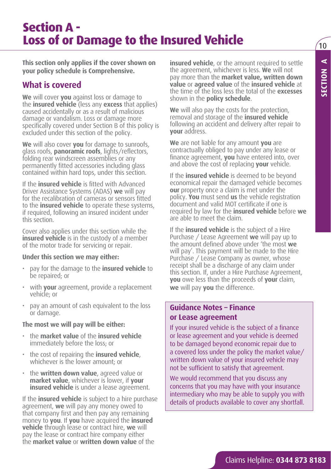## **Section A - Loss of or Damage to the Insured Vehicle**

**This section only applies if the cover shown on your policy schedule is Comprehensive.**

#### **What is covered**

**We** will cover **you** against loss or damage to the **insured vehicle** (less any **excess** that applies) caused accidentally or as a result of malicious damage or vandalism. Loss or damage more specifically covered under Section B of this policy is excluded under this section of the policy.

**We** will also cover **you** for damage to sunroofs, glass roofs, **panoramic roofs**, lights/reflectors, folding rear windscreen assemblies or any permanently fitted accessories including glass contained within hard tops, under this section.

If the **insured vehicle** is fitted with Advanced Driver Assistance Systems (ADAS) **we** will pay for the recalibration of cameras or sensors fitted to the **insured vehicle** to operate these systems, if required, following an insured incident under this section.

Cover also applies under this section while the **insured vehicle** is in the custody of a member of the motor trade for servicing or repair.

#### **Under this section we may either:**

- pay for the damage to the **insured vehicle** to be repaired; or
- with **your** agreement, provide a replacement vehicle; or
- pay an amount of cash equivalent to the loss or damage.

#### **The most we will pay will be either:**

- the **market value** of the **insured vehicle** immediately before the loss; or
- the cost of repairing the **insured vehicle**, whichever is the lower amount; or
- the **written down value**, agreed value or **market value**, whichever is lower, if **your insured vehicle** is under a lease agreement.

If the **insured vehicle** is subject to a hire purchase agreement, **we** will pay any money owed to that company first and then pay any remaining money to **you**. If **you** have acquired the **insured vehicle** through lease or contract hire, **we** will pay the lease or contract hire company either the **market value** or **written down value** of the

**insured vehicle**, or the amount required to settle the agreement, whichever is less. **We** will not pay more than the **market value, written down value** or **agreed value** of the **insured vehicle** at the time of the loss less the total of the **excesses** shown in the **policy schedule**.

**We** will also pay the costs for the protection, removal and storage of the **insured vehicle** following an accident and delivery after repair to **your** address.

**We** are not liable for any amount **you** are contractually obliged to pay under any lease or finance agreement, **you** have entered into, over and above the cost of replacing **your** vehicle.

If the **insured vehicle** is deemed to be beyond economical repair the damaged vehicle becomes **our** property once a claim is met under the policy. **You** must send **us** the vehicle registration document and valid MOT certificate if one is required by law for the **insured vehicle** before **we** are able to meet the claim.

If the **insured vehicle** is the subject of a Hire Purchase / Lease Agreement **we** will pay up to the amount defined above under 'the most **we** will pay'. This payment will be made to the Hire Purchase / Lease Company as owner, whose receipt shall be a discharge of any claim under this section. If, under a Hire Purchase Agreement, **you** owe less than the proceeds of **your** claim, **we** will pay **you** the difference.

#### **Guidance Notes – Finance or Lease agreement**

If your insured vehicle is the subject of a finance or lease agreement and your vehicle is deemed to be damaged beyond economic repair due to a covered loss under the policy the market value/ written down value of your insured vehicle may not be sufficient to satisfy that agreement.

We would recommend that you discuss any concerns that you may have with your insurance intermediary who may be able to supply you with details of products available to cover any shortfall.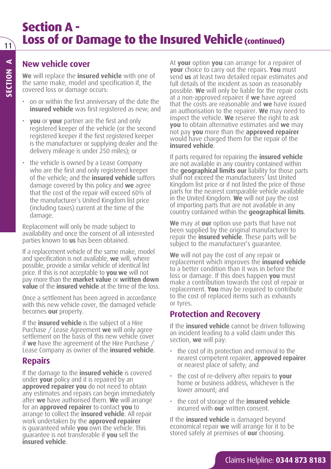# **Section A - Loss of or Damage to the Insured Vehicle (continued)**

#### **New vehicle cover**

**We** will replace the **insured vehicle** with one of the same make, model and specification if, the covered loss or damage occurs:

- on or within the first anniversary of the date the **insured vehicle** was first registered as new; and
- **you** or **your** partner are the first and only registered keeper of the vehicle (or the second registered keeper if the first registered keeper is the manufacturer or supplying dealer and the delivery mileage is under 250 miles); or
- the vehicle is owned by a Lease Company who are the first and only registered keeper of the vehicle; and the **insured vehicle** suffers damage covered by this policy and **we** agree that the cost of the repair will exceed 60% of the manufacturer's United Kingdom list price (including taxes) current at the time of the damage.

Replacement will only be made subject to availability and once the consent of all interested parties known to **us** has been obtained.

If a replacement vehicle of the same make, model and specification is not available, **we** will, where possible, provide a similar vehicle of identical list price. If this is not acceptable to **you we** will not pay more than the **market value** or **written down value** of the **insured vehicle** at the time of the loss.

Once a settlement has been agreed in accordance with this new vehicle cover, the damaged vehicle becomes **our** property.

If the **insured vehicle** is the subject of a Hire Purchase / Lease Agreement **we** will only agree settlement on the basis of this new vehicle cover if **we** have the agreement of the Hire Purchase / Lease Company as owner of the **insured vehicle**.

#### **Repairs**

If the damage to the **insured vehicle** is covered under **your** policy and it is repaired by an approved repairer you do not need to obtain any estimates and repairs can begin immediately after **we** have authorised them. **We** will arrange for an **approved repairer** to contact **you** to arrange to collect the **insured vehicle**. All repair work undertaken by the **approved repairer**  is guaranteed while **you** own the vehicle. This guarantee is not transferable if **you** sell the **insured vehicle**.

At **your** option **you** can arrange for a repairer of **your** choice to carry out the repairs. **You** must send **us** at least two detailed repair estimates and full details of the incident as soon as reasonably possible. **We** will only be liable for the repair costs at a non-approved repairer if **we** have agreed that the costs are reasonable and **we** have issued an authorisation to the repairer. **We** may need to inspect the vehicle. **We** reserve the right to ask **you** to obtain alternative estimates and **we** may not pay **you** more than the **approved repairer** would have charged them for the repair of the **insured vehicle**.

If parts required for repairing the **insured vehicle** are not available in any country contained within the **geographical limits our** liability for those parts shall not exceed the manufacturers' last United Kingdom list price or if not listed the price of those parts for the nearest comparable vehicle available in the United Kingdom. **We** will not pay the cost of importing parts that are not available in any country contained within the **geographical limits**.

**We** may at **our** option use parts that have not been supplied by the original manufacturer to repair the **insured vehicle**. These parts will be subject to the manufacturer's guarantee.

**We** will not pay the cost of any repair or replacement which improves the **insured vehicle** to a better condition than it was in before the loss or damage. If this does happen **you** must make a contribution towards the cost of repair or replacement. **You** may be required to contribute to the cost of replaced items such as exhausts or tyres.

#### **Protection and Recovery**

If the **insured vehicle** cannot be driven following an incident leading to a valid claim under this section, **we** will pay:

- the cost of its protection and removal to the nearest competent repairer, **approved repairer** or nearest place of safety; and
- the cost of re-delivery after repairs to **your** home or business address, whichever is the lower amount; and
- the cost of storage of the **insured vehicle** incurred with **our** written consent.

If the **insured vehicle** is damaged beyond economical repair **we** will arrange for it to be stored safely at premises of **our** choosing.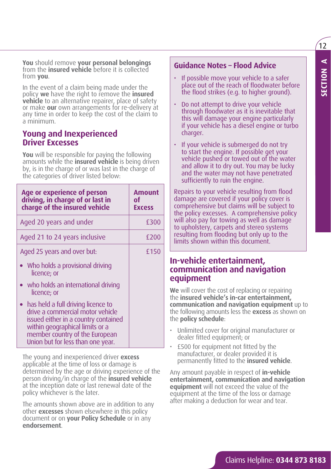$\overline{12}$ 

**You** should remove **your personal belongings** from the **insured vehicle** before it is collected from **you**.

In the event of a claim being made under the policy **we** have the right to remove the **insured vehicle** to an alternative repairer, place of safety or make **our** own arrangements for re-delivery at any time in order to keep the cost of the claim to a minimum.

#### **Young and Inexperienced Driver Excesses**

**You** will be responsible for paying the following amounts while the **insured vehicle** is being driven by, is in the charge of or was last in the charge of the categories of driver listed below:

| Age or experience of person<br>driving, in charge of or last in<br>charge of the insured vehicle                                                                                                                           | Amount<br>of<br><b>Excess</b> |
|----------------------------------------------------------------------------------------------------------------------------------------------------------------------------------------------------------------------------|-------------------------------|
| Aged 20 years and under                                                                                                                                                                                                    | £300                          |
| Aged 21 to 24 years inclusive                                                                                                                                                                                              | £200                          |
| Aged 25 years and over but:                                                                                                                                                                                                | £150                          |
| • Who holds a provisional driving<br>licence; or                                                                                                                                                                           |                               |
| • who holds an international driving<br>licence; or                                                                                                                                                                        |                               |
| • has held a full driving licence to<br>drive a commercial motor vehicle<br>issued either in a country contained<br>within geographical limits or a<br>member country of the European<br>Union but for less than one year. |                               |

The young and inexperienced driver **excess** applicable at the time of loss or damage is determined by the age or driving experience of the person driving/in charge of the **insured vehicle** at the inception date or last renewal date of the policy whichever is the later.

The amounts shown above are in addition to any other **excesses** shown elsewhere in this policy document or on **your Policy Schedule** or in any **endorsement**.

#### **Guidance Notes – Flood Advice**

- If possible move your vehicle to a safer place out of the reach of floodwater before the flood strikes (e.g. to higher ground).
- Do not attempt to drive your vehicle through floodwater as it is inevitable that this will damage your engine particularly if your vehicle has a diesel engine or turbo charger.
- If your vehicle is submerged do not try to start the engine. If possible get your vehicle pushed or towed out of the water and allow it to dry out. You may be lucky and the water may not have penetrated sufficiently to ruin the engine.

Repairs to your vehicle resulting from flood damage are covered if your policy cover is comprehensive but claims will be subject to the policy excesses. A comprehensive policy will also pay for towing as well as damage to upholstery, carpets and stereo systems resulting from flooding but only up to the limits shown within this document.

#### **In-vehicle entertainment, communication and navigation equipment**

**We** will cover the cost of replacing or repairing the **insured vehicle's in-car entertainment, communication and navigation equipment** up to the following amounts less the **excess** as shown on the **policy schedule**:

- Unlimited cover for original manufacturer or dealer fitted equipment; or
- £500 for equipment not fitted by the manufacturer, or dealer provided it is permanently fitted to the **insured vehicle**.

Any amount payable in respect of **in-vehicle entertainment, communication and navigation equipment** will not exceed the value of the equipment at the time of the loss or damage after making a deduction for wear and tear.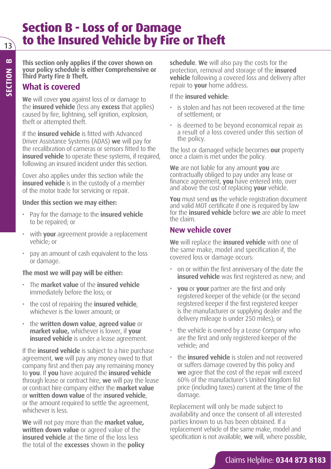# **Section B - Loss of or Damage to the Insured Vehicle by Fire or Theft**

**This section only applies if the cover shown on your policy schedule is either Comprehensive or Third Party Fire & Theft.**

#### **What is covered**

**We** will cover **you** against loss of or damage to the **insured vehicle** (less any **excess** that applies) caused by fire, lightning, self ignition, explosion, theft or attempted theft.

If the **insured vehicle** is fitted with Advanced Driver Assistance Systems (ADAS) **we** will pay for the recalibration of cameras or sensors fitted to the **insured vehicle** to operate these systems, if required, following an insured incident under this section.

Cover also applies under this section while the **insured vehicle** is in the custody of a member of the motor trade for servicing or repair.

#### **Under this section we may either:**

- Pay for the damage to the **insured vehicle** to be repaired; or
- with **your** agreement provide a replacement vehicle; or
- pay an amount of cash equivalent to the loss or damage.

#### **The most we will pay will be either:**

- The **market value** of the **insured vehicle** immediately before the loss; or
- the cost of repairing the **insured vehicle**, whichever is the lower amount; or
- the **written down value**, **agreed value** or **market value,** whichever is lower, if **your insured vehicle** is under a lease agreement.

If the **insured vehicle** is subject to a hire purchase agreement, **we** will pay any money owed to that company first and then pay any remaining money to **you**. If **you** have acquired the **insured vehicle**  through lease or contract hire, **we** will pay the lease or contract hire company either the **market value** or **written down value** of the i**nsured vehicle**, or the amount required to settle the agreement, whichever is less.

**We** will not pay more than the **market value, written down value** or agreed value of the **insured vehicle** at the time of the loss less the total of the **excesses** shown in the **policy** 

**schedule**. **We** will also pay the costs for the protection, removal and storage of the **insured vehicle** following a covered loss and delivery after repair to **your** home address.

#### If the **insured vehicle**:

- is stolen and has not been recovered at the time of settlement; or
- is deemed to be beyond economical repair as a result of a loss covered under this section of the policy.

The lost or damaged vehicle becomes **our** property once a claim is met under the policy.

**We** are not liable for any amount **you** are contractually obliged to pay under any lease or finance agreement, **you** have entered into, over and above the cost of replacing **your** vehicle.

**You** must send **us** the vehicle registration document and valid MOT certificate if one is required by law for the **insured vehicle** before **we** are able to meet the claim.

#### **New vehicle cover**

**We** will replace the **insured vehicle** with one of the same make, model and specification if, the covered loss or damage occurs:

- on or within the first anniversary of the date the **insured vehicle** was first registered as new; and
- **you** or **your** partner are the first and only registered keeper of the vehicle (or the second registered keeper if the first registered keeper is the manufacturer or supplying dealer and the delivery mileage is under 250 miles); or
- the vehicle is owned by a Lease Company who are the first and only registered keeper of the vehicle; and
- the **insured vehicle** is stolen and not recovered or suffers damage covered by this policy and **we** agree that the cost of the repair will exceed 60% of the manufacturer's United Kingdom list price (including taxes) current at the time of the damage.

Replacement will only be made subject to availability and once the consent of all interested parties known to us has been obtained. If a replacement vehicle of the same make, model and specification is not available, **we** will, where possible,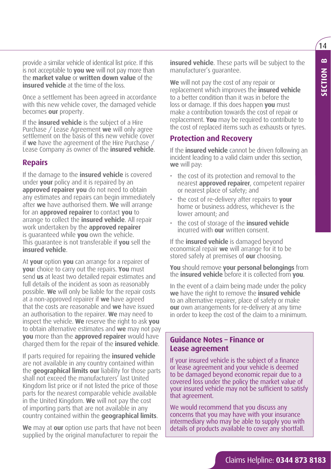provide a similar vehicle of identical list price. If this is not acceptable to **you we** will not pay more than the **market value** or **written down value** of the **insured vehicle** at the time of the loss.

Once a settlement has been agreed in accordance with this new vehicle cover, the damaged vehicle becomes **our** property.

If the **insured vehicle** is the subject of a Hire Purchase / Lease Agreement **we** will only agree settlement on the basis of this new vehicle cover if **we** have the agreement of the Hire Purchase / Lease Company as owner of the **insured vehicle**.

#### **Repairs**

If the damage to the **insured vehicle** is covered under **your** policy and it is repaired by an **approved repairer you** do not need to obtain any estimates and repairs can begin immediately after **we** have authorised them. **We** will arrange for an **approved repairer** to contact **you** to arrange to collect the **insured vehicle**. All repair work undertaken by the **approved repairer** is guaranteed while **you** own the vehicle. This guarantee is not transferable if **you** sell the **insured vehicle**.

At **your** option **you** can arrange for a repairer of **you**r choice to carry out the repairs. **You** must send **us** at least two detailed repair estimates and full details of the incident as soon as reasonably possible. **We** will only be liable for the repair costs at a non-approved repairer if **we** have agreed that the costs are reasonable and **we** have issued an authorisation to the repairer. **We** may need to inspect the vehicle. **We** reserve the right to ask **you** to obtain alternative estimates and **we** may not pay **you** more than the **approved repairer** would have charged them for the repair of the **insured vehicle**.

If parts required for repairing the **insured vehicle** are not available in any country contained within the **geographical limits our** liability for those parts shall not exceed the manufacturers' last United Kingdom list price or if not listed the price of those parts for the nearest comparable vehicle available in the United Kingdom. **We** will not pay the cost of importing parts that are not available in any country contained within the **geographical limits**.

**We** may at **our** option use parts that have not been supplied by the original manufacturer to repair the

**insured vehicle**. These parts will be subject to the manufacturer's guarantee.

**We** will not pay the cost of any repair or replacement which improves the **insured vehicle** to a better condition than it was in before the loss or damage. If this does happen **you** must make a contribution towards the cost of repair or replacement. **You** may be required to contribute to the cost of replaced items such as exhausts or tyres.

#### **Protection and Recovery**

If the **insured vehicle** cannot be driven following an incident leading to a valid claim under this section, **we** will pay:

- the cost of its protection and removal to the nearest **approved repairer**, competent repairer or nearest place of safety; and
- the cost of re-delivery after repairs to **your** home or business address, whichever is the lower amount; and
- the cost of storage of the **insured vehicle** incurred with **our** written consent.

If the **insured vehicle** is damaged beyond economical repair **we** will arrange for it to be stored safely at premises of **our** choosing.

**You** should remove **your personal belongings** from the **insured vehicle** before it is collected from **you**.

In the event of a claim being made under the policy **we** have the right to remove the **insured vehicle** to an alternative repairer, place of safety or make **our** own arrangements for re-delivery at any time in order to keep the cost of the claim to a minimum.

#### **Guidance Notes – Finance or Lease agreement**

If your insured vehicle is the subject of a finance or lease agreement and your vehicle is deemed to be damaged beyond economic repair due to a covered loss under the policy the market value of your insured vehicle may not be sufficient to satisfy that agreement.

We would recommend that you discuss any concerns that you may have with your insurance intermediary who may be able to supply you with details of products available to cover any shortfall.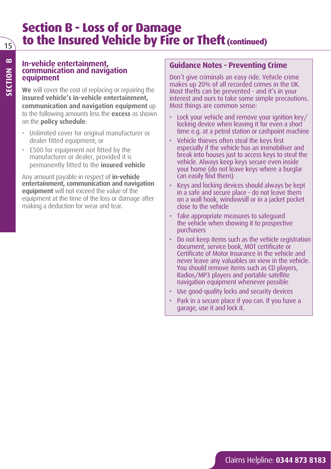# **Section B - Loss of or Damage to the Insured Vehicle by Fire or Theft (continued)**

#### **In-vehicle entertainment, communication and navigation equipment**

**We** will cover the cost of replacing or repairing the **insured vehicle's in-vehicle entertainment, communication and navigation equipment** up to the following amounts less the **excess** as shown on the **policy schedule**:

- Unlimited cover for original manufacturer or dealer fitted equipment; or
- £500 for equipment not fitted by the manufacturer or dealer, provided it is permanently fitted to the **insured vehicle**

Any amount payable in respect of **in-vehicle entertainment, communication and navigation equipment** will not exceed the value of the equipment at the time of the loss or damage after making a deduction for wear and tear.

#### **Guidance Notes - Preventing Crime**

Don't give criminals an easy ride. Vehicle crime makes up 20% of all recorded crimes in the UK. Most thefts can be prevented - and it's in your interest and ours to take some simple precautions. Most things are common sense:

- Lock your vehicle and remove your ignition key/ locking device when leaving it for even a short time e.g. at a petrol station or cashpoint machine
- Vehicle thieves often steal the keys first especially if the vehicle has an immobiliser and break into houses just to access keys to steal the vehicle. Always keep keys secure even inside your home (do not leave keys where a burglar can easily find them)
- Keys and locking devices should always be kept in a safe and secure place - do not leave them on a wall hook, windowsill or in a jacket pocket close to the vehicle
- Take appropriate measures to safeguard the vehicle when showing it to prospective purchasers
- Do not keep items such as the vehicle registration document, service book, MOT certificate or Certificate of Motor Insurance in the vehicle and never leave any valuables on view in the vehicle. You should remove items such as CD players, Radios/MP3 players and portable satellite navigation equipment whenever possible
- Use good-quality locks and security devices
- Park in a secure place if you can. If you have a garage, use it and lock it.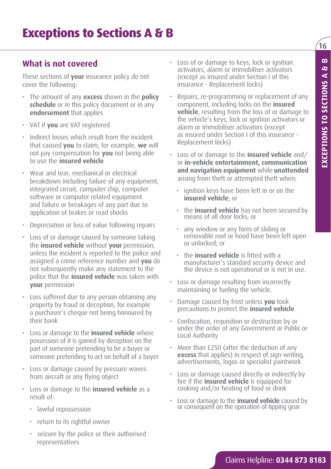# **Exceptions to Sections A & B**

#### **What is not covered**

These sections of **your** insurance policy do not cover the following:

- The amount of any **excess** shown in the **policy schedule** or in this policy document or in any **endorsement** that applies
- VAT if **you** are VAT registered
- Indirect losses which result from the incident that caused **you** to claim, for example, **we** will not pay compensation for **you** not being able to use the **insured vehicle**
- Wear and tear, mechanical or electrical breakdown including failure of any equipment, integrated circuit, computer chip, computer software or computer related equipment and failure or breakages of any part due to application of brakes or road shocks
- Depreciation or loss of value following repairs
- Loss of or damage caused by someone taking the **insured vehicle** without **your** permission, unless the incident is reported to the police and assigned a crime reference number and **you** do not subsequently make any statement to the police that the **insured vehicle** was taken with **your** permission
- Loss suffered due to any person obtaining any property by fraud or deception, for example a purchaser's cheque not being honoured by their bank
- Loss or damage to the **insured vehicle** where possession of it is gained by deception on the part of someone pretending to be a buyer or someone pretending to act on behalf of a buyer
- Loss or damage caused by pressure waves from aircraft or any flying object
- Loss or damage to the **insured vehicle** as a result of:
	- lawful repossession
	- return to its rightful owner
	- seizure by the police or their authorised representatives
- Loss of or damage to keys, lock or ignition activators, alarm or immobiliser activators (except as insured under Section I of this insurance - Replacement locks)
- Repairs, re-programming or replacement of any component, including locks on the **insured vehicle**, resulting from the loss of or damage to the vehicle's keys, lock or ignition activators or alarm or immobiliser activators (except as insured under Section I of this insurance - Replacement locks)
- Loss of or damage to the **insured vehicle** and/ or **in-vehicle entertainment, communication and navigation equipment** while **unattended** arising from theft or attempted theft when:
	- ignition keys have been left in or on the **insured vehicle**; or
	- the **insured vehicle** has not been secured by means of all door locks; or
	- any window or any form of sliding or removable roof or hood have been left open or unlocked; or
	- the **insured vehicle** is fitted with a manufacturer's standard security device and the device is not operational or is not in use.
- Loss or damage resulting from incorrectly maintaining or fueling the vehicle.
- Damage caused by frost unless **you** took precautions to protect the **insured vehicle**
- Confiscation, requisition or destruction by or under the order of any Government or Public or Local Authority
- More than £250 (after the deduction of any **excess** that applies) in respect of sign-writing, advertisements, logos or specialist paintwork
- Loss or damage caused directly or indirectly by fire if the **insured vehicle** is equipped for cooking and/or heating of food or drink
- Loss or damage to the **insured vehicle** caused by or consequent on the operation of tipping gear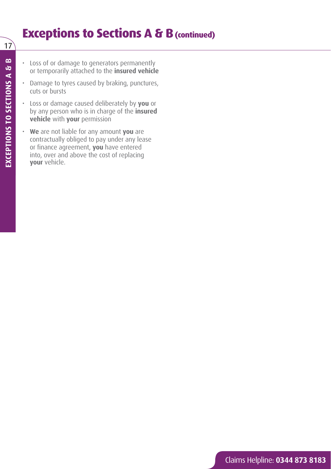# **Exceptions to Sections A & B (continued)**

- Loss of or damage to generators permanently or temporarily attached to the **insured vehicle**
- Damage to tyres caused by braking, punctures, cuts or bursts
- Loss or damage caused deliberately by **you** or by any person who is in charge of the **insured vehicle** with **your** permission
- **We** are not liable for any amount **you** are contractually obliged to pay under any lease or finance agreement, **you** have entered into, over and above the cost of replacing **your** vehicle.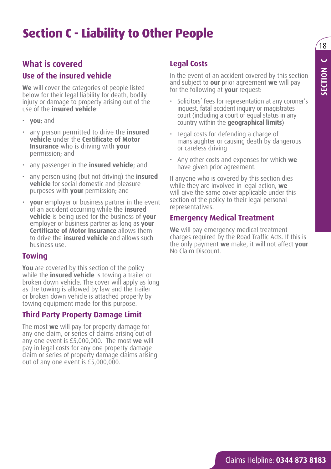#### **Use of the insured vehicle**

**We** will cover the categories of people listed below for their legal liability for death, bodily injury or damage to property arising out of the use of the **insured vehicle**:

**Section C - Liability to Other People**

- **you**; and
- any person permitted to drive the **insured vehicle** under the **Certificate of Motor Insurance** who is driving with **your** permission; and
- any passenger in the **insured vehicle**; and
- any person using (but not driving) the **insured vehicle** for social domestic and pleasure purposes with **your** permission; and
- **your** employer or business partner in the event of an accident occurring while the **insured vehicle** is being used for the business of **your** employer or business partner as long as **your Certificate of Motor Insurance** allows them to drive the **insured vehicle** and allows such business use.

#### **Towing**

You are covered by this section of the policy while the **insured vehicle** is towing a trailer or broken down vehicle. The cover will apply as long as the towing is allowed by law and the trailer or broken down vehicle is attached properly by towing equipment made for this purpose.

#### **Third Party Property Damage Limit**

The most **we** will pay for property damage for any one claim, or series of claims arising out of any one event is £5,000,000. The most **we** will pay in legal costs for any one property damage claim or series of property damage claims arising out of any one event is £5,000,000.

#### **Legal Costs**

In the event of an accident covered by this section and subject to **our** prior agreement **we** will pay for the following at **your** request:

- Solicitors' fees for representation at any coroner's inquest, fatal accident inquiry or magistrates court (including a court of equal status in any country within the **geographical limits**)
- Legal costs for defending a charge of manslaughter or causing death by dangerous or careless driving
- Any other costs and expenses for which **we** have given prior agreement.

If anyone who is covered by this section dies while they are involved in legal action. we will give the same cover applicable under this section of the policy to their legal personal representatives.

#### **Emergency Medical Treatment**

**We** will pay emergency medical treatment charges required by the Road Traffic Acts. If this is the only payment **we** make, it will not affect **your** No Claim Discount.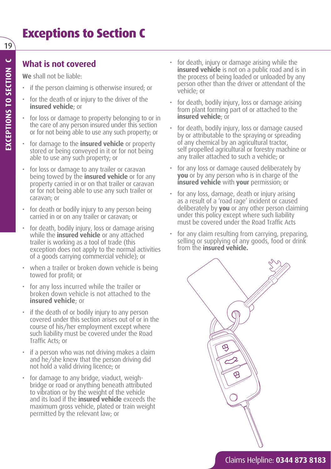# **Exceptions to Section C**

### **What is not covered**

**We** shall not be liable:

- if the person claiming is otherwise insured; or
- for the death of or injury to the driver of the **insured vehicle**; or
- for loss or damage to property belonging to or in the care of any person insured under this section or for not being able to use any such property; or
- for damage to the **insured vehicle** or property stored or being conveyed in it or for not being able to use any such property; or
- for loss or damage to any trailer or caravan being towed by the **insured vehicle** or for any property carried in or on that trailer or caravan or for not being able to use any such trailer or caravan; or
- for death or bodily injury to any person being carried in or on any trailer or caravan; or
- for death, bodily injury, loss or damage arising while the **insured vehicle** or any attached trailer is working as a tool of trade (this exception does not apply to the normal activities of a goods carrying commercial vehicle); or
- when a trailer or broken down vehicle is being towed for profit; or
- for any loss incurred while the trailer or broken down vehicle is not attached to the **insured vehicle**; or
- if the death of or bodily injury to any person covered under this section arises out of or in the course of his/her employment except where such liability must be covered under the Road Traffic Acts; or
- if a person who was not driving makes a claim and he/she knew that the person driving did not hold a valid driving licence; or
- for damage to any bridge, viaduct, weighbridge or road or anything beneath attributed to vibration or by the weight of the vehicle and its load if the **insured vehicle** exceeds the maximum gross vehicle, plated or train weight permitted by the relevant law; or
- for death, injury or damage arising while the **insured vehicle** is not on a public road and is in the process of being loaded or unloaded by any person other than the driver or attendant of the vehicle; or
- for death, bodily injury, loss or damage arising from plant forming part of or attached to the **insured vehicle**; or
- for death, bodily injury, loss or damage caused by or attributable to the spraying or spreading of any chemical by an agricultural tractor, self propelled agricultural or forestry machine or any trailer attached to such a vehicle; or
- for any loss or damage caused deliberately by **you** or by any person who is in charge of the **insured vehicle** with **your** permission; or
- for any loss, damage, death or injury arising as a result of a 'road rage' incident or caused deliberately by **you** or any other person claiming under this policy except where such liability must be covered under the Road Traffic Acts
- for any claim resulting from carrying, preparing, selling or supplying of any goods, food or drink from the **insured vehicle.**



#### Claims Helpline: **0344 873 8183**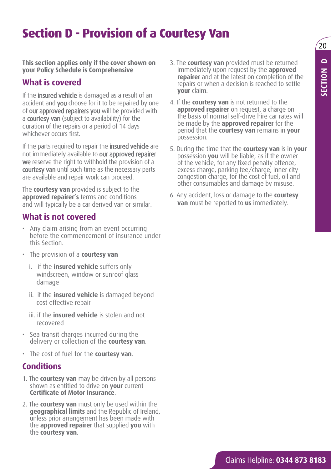# **Section D - Provision of a Courtesy Van**

**This section applies only if the cover shown on your Policy Schedule is Comprehensive**

#### **What is covered**

If the insured vehicle is damaged as a result of an accident and you choose for it to be repaired by one of our approved repairers you will be provided with a courtesy van (subject to availability) for the duration of the repairs or a period of 14 days whichever occurs first.

If the parts required to repair the **insured vehicle** are not immediately available to our approved repairer we reserve the right to withhold the provision of a courtesy van until such time as the necessary parts are available and repair work can proceed.

The **courtesy van** provided is subject to the **approved repairer's** terms and conditions and will typically be a car derived van or similar.

#### **What is not covered**

- Any claim arising from an event occurring before the commencement of insurance under this Section.
- The provision of a **courtesy van**
	- i. if the **insured vehicle** suffers only windscreen, window or sunroof glass damage
	- ii. if the **insured vehicle** is damaged beyond cost effective repair
	- iii. if the **insured vehicle** is stolen and not recovered
- Sea transit charges incurred during the delivery or collection of the **courtesy van**.
- The cost of fuel for the **courtesy van**.

#### **Conditions**

- 1. The **courtesy van** may be driven by all persons shown as entitled to drive on **your** current **Certificate of Motor Insurance**.
- 2. The **courtesy van** must only be used within the **geographical limits** and the Republic of Ireland, unless prior arrangement has been made with the **approved repairer** that supplied **you** with the **courtesy van**.
- 3. The **courtesy van** provided must be returned immediately upon request by the **approved repairer** and at the latest on completion of the repairs or when a decision is reached to settle **your** claim.
- 4. If the **courtesy van** is not returned to the **approved repairer** on request, a charge on the basis of normal self-drive hire car rates will be made by the **approved repairer** for the period that the **courtesy van** remains in **your** possession.
- 5. During the time that the **courtesy van** is in **your** possession **you** will be liable, as if the owner of the vehicle, for any fixed penalty offence, excess charge, parking fee/charge, inner city congestion charge, for the cost of fuel, oil and other consumables and damage by misuse.
- 6. Any accident, loss or damage to the **courtesy van** must be reported to **us** immediately.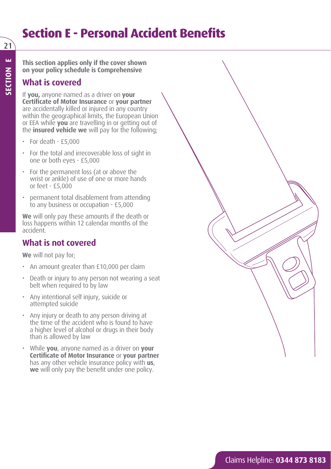# **Section E - Personal Accident Benefits**

21

**This section applies only if the cover shown on your policy schedule is Comprehensive** 

#### **What is covered**

If **you,** anyone named as a driver on **your Certificate of Motor Insurance** or **your partner**  are accidentally killed or injured in any country within the geographical limits, the European Union or EEA while **you** are travelling in or getting out of the **insured vehicle we** will pay for the following;

- $\cdot$  For death £5,000
- For the total and irrecoverable loss of sight in one or both eyes - £5,000
- For the permanent loss (at or above the wrist or ankle) of use of one or more hands or feet - £5,000
- permanent total disablement from attending to any business or occupation - £5,000

**We** will only pay these amounts if the death or loss happens within 12 calendar months of the accident.

#### **What is not covered**

**We** will not pay for;

- An amount greater than £10,000 per claim
- Death or injury to any person not wearing a seat belt when required to by law
- Any intentional self injury, suicide or attempted suicide
- Any injury or death to any person driving at the time of the accident who is found to have a higher level of alcohol or drugs in their body than is allowed by law
- While **you**, anyone named as a driver on **your Certificate of Motor Insurance** or **your partner** has any other vehicle insurance policy with **us**, **we** will only pay the benefit under one policy.

Claims Helpline: **0344 873 8183**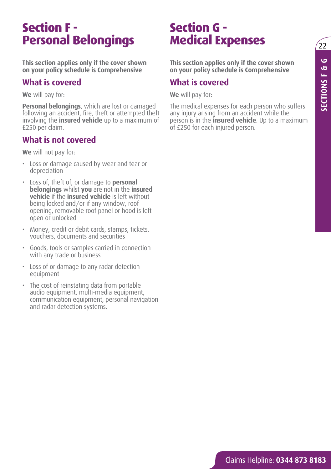## **Section F - Personal Belongings**

# **Section G - Medical Expenses**

**This section applies only if the cover shown on your policy schedule is Comprehensive** 

#### **What is covered**

**We** will pay for:

**Personal belongings**, which are lost or damaged following an accident, fire, theft or attempted theft involving the **insured vehicle** up to a maximum of £250 per claim.

#### **What is not covered**

**We** will not pay for:

- Loss or damage caused by wear and tear or depreciation
- Loss of, theft of, or damage to **personal belongings** whilst **you** are not in the **insured vehicle** if the **insured vehicle** is left without being locked and/or if any window, roof opening, removable roof panel or hood is left open or unlocked
- Money, credit or debit cards, stamps, tickets, vouchers, documents and securities
- Goods, tools or samples carried in connection with any trade or business
- Loss of or damage to any radar detection equipment
- The cost of reinstating data from portable audio equipment, multi-media equipment, communication equipment, personal navigation and radar detection systems.

**This section applies only if the cover shown on your policy schedule is Comprehensive**

#### **What is covered**

**We** will pay for:

The medical expenses for each person who suffers any injury arising from an accident while the person is in the **insured vehicle**. Up to a maximum of £250 for each injured person.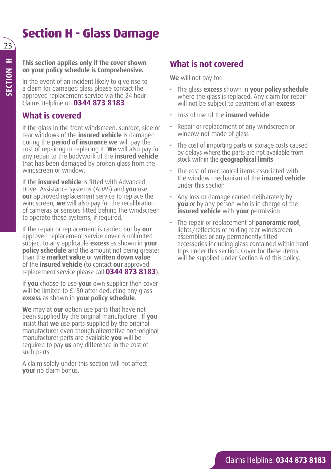# **Section H - Glass Damage**

#### **This section applies only if the cover shown on your policy schedule is Comprehensive.**

In the event of an incident likely to give rise to a claim for damaged glass please contact the approved replacement service via the 24 hour Claims Helpline on **0344 873 8183**.

#### **What is covered**

If the glass in the front windscreen, sunroof, side or rear windows of the **insured vehicle** is damaged during the **period of insurance we** will pay the cost of repairing or replacing it. **We** will also pay for any repair to the bodywork of the **insured vehicle** that has been damaged by broken glass from the windscreen or window.

If the **insured vehicle** is fitted with Advanced Driver Assistance Systems (ADAS) and **you** use **our** approved replacement service to replace the windscreen, **we** will also pay for the recalibration of cameras or sensors fitted behind the windscreen to operate these systems, if required.

If the repair or replacement is carried out by **our** approved replacement service cover is unlimited subject to any applicable **excess** as shown in **your policy schedule** and the amount not being greater than the **market value** or **written down value** of the **insured vehicle** (to contact **our** approved replacement service please call **0344 873 8183**).

If **you** choose to use **your** own supplier then cover will be limited to £150 after deducting any glass **excess** as shown in **your policy schedule**.

**We** may at **our** option use parts that have not been supplied by the original manufacturer. If **you**  insist that **we** use parts supplied by the original manufacturer even though alternative non-original manufacturer parts are available **you** will be required to pay **us** any difference in the cost of such parts.

A claim solely under this section will not affect **your** no claim bonus.

#### **What is not covered**

**We** will not pay for:

- The glass **excess** shown in **your policy schedule** where the glass is replaced. Any claim for repair will not be subject to payment of an **excess**
- Loss of use of the **insured vehicle**
- Repair or replacement of any windscreen or window not made of glass
- The cost of importing parts or storage costs caused by delays where the parts are not available from stock within the **geographical limits**
- The cost of mechanical items associated with the window mechanism of the **insured vehicle** under this section
- Any loss or damage caused deliberately by **you** or by any person who is in charge of the **insured vehicle** with **your** permission
- The repair or replacement of **panoramic roof**, lights/reflectors or folding rear windscreen assemblies or any permanently fitted accessories including glass contained within hard tops under this section. Cover for these items will be supplied under Section A of this policy.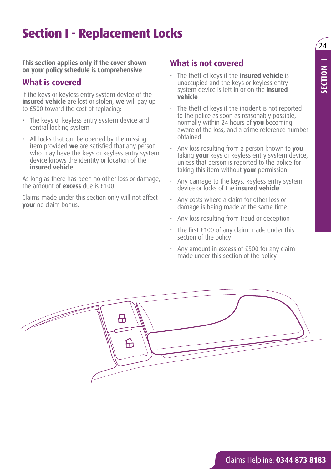**SECTION 1 SECTION I**

 $24$ 

**This section applies only if the cover shown on your policy schedule is Comprehensive**

#### **What is covered**

If the keys or keyless entry system device of the **insured vehicle** are lost or stolen, **we** will pay up to £500 toward the cost of replacing:

- The keys or keyless entry system device and central locking system
- All locks that can be opened by the missing item provided **we** are satisfied that any person who may have the keys or keyless entry system device knows the identity or location of the **insured vehicle**.

As long as there has been no other loss or damage, the amount of **excess** due is £100.

Claims made under this section only will not affect **your** no claim bonus.

#### **What is not covered**

- The theft of keys if the **insured vehicle** is unoccupied and the keys or keyless entry system device is left in or on the **insured vehicle**
- The theft of keys if the incident is not reported to the police as soon as reasonably possible, normally within 24 hours of **you** becoming aware of the loss, and a crime reference number obtained
- Any loss resulting from a person known to **you** taking **your** keys or keyless entry system device, unless that person is reported to the police for taking this item without **your** permission.
- Any damage to the keys, keyless entry system device or locks of the **insured vehicle**.
- Any costs where a claim for other loss or damage is being made at the same time.
- Any loss resulting from fraud or deception
- The first £100 of any claim made under this section of the policy
- Any amount in excess of £500 for any claim made under this section of the policy

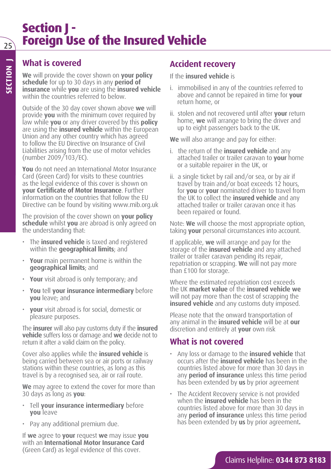### **Section J - Foreign Use of the Insured Vehicle**

#### **What is covered**

**We** will provide the cover shown on **your policy schedule** for up to 30 days in any **period of insurance** while **you** are using the **insured vehicle** within the countries referred to below

Outside of the 30 day cover shown above **we** will provide **you** with the minimum cover required by law while **you** or any driver covered by this **policy** are using the **insured vehicle** within the European Union and any other country which has agreed to follow the EU Directive on Insurance of Civil Liabilities arising from the use of motor vehicles (number 2009/103/EC).

**You** do not need an International Motor Insurance Card (Green Card) for visits to these countries as the legal evidence of this cover is shown on **your Certificate of Motor Insurance**. Further information on the countries that follow the EU Directive can be found by visiting www.mib.org.uk

The provision of the cover shown on **your policy schedule** whilst **you** are abroad is only agreed on the understanding that:

- The **insured vehicle** is taxed and registered within the **geographical limits**; and
- **Your** main permanent home is within the **geographical limits**; and
- **Your** visit abroad is only temporary; and
- **You** tell **your insurance intermediary** before **you** leave; and
- **your** visit abroad is for social, domestic or pleasure purposes.

The **insurer** will also pay customs duty if the **insured vehicle** suffers loss or damage and **we** decide not to return it after a valid claim on the policy.

Cover also applies while the **insured vehicle** is being carried between sea or air ports or railway stations within these countries, as long as this travel is by a recognised sea, air or rail route.

**We** may agree to extend the cover for more than 30 days as long as **you**:

- Tell **your insurance intermediary** before **you** leave
- Pay any additional premium due.

If **we** agree to **your** request **we** may issue **you**  with an **International Motor Insurance Card** (Green Card) as legal evidence of this cover.

#### **Accident recovery**

#### If the **insured vehicle** is

- i. immobilised in any of the countries referred to above and cannot be repaired in time for **your** return home, or
- ii. stolen and not recovered until after **your** return home, **we** will arrange to bring the driver and up to eight passengers back to the UK.

**We** will also arrange and pay for either:

- i. the return of the **insured vehicle** and any attached trailer or trailer caravan to **your** home or a suitable repairer in the UK, or
- ii. a single ticket by rail and/or sea, or by air if travel by train and/or boat exceeds 12 hours, for **you** or **your** nominated driver to travel from the UK to collect the **insured vehicle** and any attached trailer or trailer caravan once it has been repaired or found.

Note: **We** will choose the most appropriate option, taking **your** personal circumstances into account.

If applicable, **we** will arrange and pay for the storage of the **insured vehicle** and any attached trailer or trailer caravan pending its repair, repatriation or scrapping. **We** will not pay more than £100 for storage.

Where the estimated repatriation cost exceeds the UK **market value** of the **insured vehicle we** will not pay more than the cost of scrapping the **insured vehicle** and any customs duty imposed.

Please note that the onward transportation of any animal in the **insured vehicle** will be at **our**  discretion and entirely at **your** own risk

#### **What is not covered**

- Any loss or damage to the **insured vehicle** that occurs after the **insured vehicle** has been in the countries listed above for more than 30 days in any **period of insurance** unless this time period has been extended by **us** by prior agreement
- The Accident Recovery service is not provided when the **insured vehicle** has been in the countries listed above for more than 30 days in any **period of insurance** unless this time period has been extended by **us** by prior agreement**.**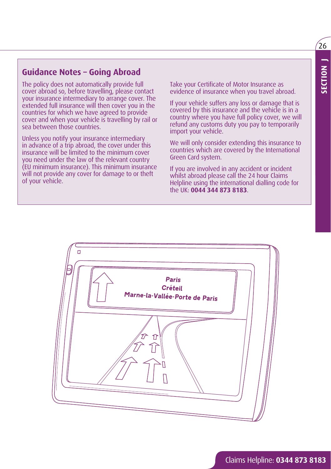#### **Guidance Notes – Going Abroad**

The policy does not automatically provide full cover abroad so, before travelling, please contact your insurance intermediary to arrange cover. The extended full insurance will then cover you in the countries for which we have agreed to provide cover and when your vehicle is travelling by rail or sea between those countries.

Unless you notify your insurance intermediary in advance of a trip abroad, the cover under this insurance will be limited to the minimum cover you need under the law of the relevant country (EU minimum insurance). This minimum insurance will not provide any cover for damage to or theft of your vehicle.

Take your Certificate of Motor Insurance as evidence of insurance when you travel abroad.

If your vehicle suffers any loss or damage that is covered by this insurance and the vehicle is in a country where you have full policy cover, we will refund any customs duty you pay to temporarily import your vehicle.

We will only consider extending this insurance to countries which are covered by the International Green Card system.

If you are involved in any accident or incident whilst abroad please call the 24 hour Claims Helpline using the international dialling code for the UK: **0044 344 873 8183**.

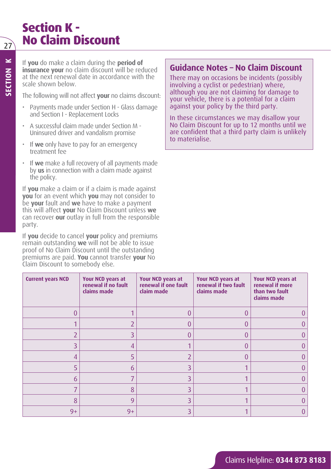# **Section K - No Claim Discount**

If **you** do make a claim during the **period of insurance your** no claim discount will be reduced at the next renewal date in accordance with the scale shown below.

The following will not affect **your** no claims discount:

- Payments made under Section H Glass damage and Section I - Replacement Locks
- A successful claim made under Section M Uninsured driver and vandalism promise
- If **we** only have to pay for an emergency treatment fee
- If **we** make a full recovery of all payments made by **us** in connection with a claim made against the policy.

If **you** make a claim or if a claim is made against **you** for an event which **you** may not consider to be **your** fault and **we** have to make a payment this will affect **your** No Claim Discount unless **we** can recover **our** outlay in full from the responsible party.

If **you** decide to cancel **your** policy and premiums remain outstanding **we** will not be able to issue proof of No Claim Discount until the outstanding premiums are paid. **You** cannot transfer **your** No Claim Discount to somebody else.

#### **Guidance Notes – No Claim Discount**

There may on occasions be incidents (possibly involving a cyclist or pedestrian) where, although you are not claiming for damage to your vehicle, there is a potential for a claim against your policy by the third party.

In these circumstances we may disallow your No Claim Discount for up to 12 months until we are confident that a third party claim is unlikely to materialise.

| <b>Current years NCD</b> | Your NCD years at<br>renewal if no fault<br>claims made | Your NCD years at<br>renewal if one fault<br>claim made | Your NCD years at<br>renewal if two fault<br>claims made | Your NCD years at<br>renewal if more<br>than two fault<br>claims made |
|--------------------------|---------------------------------------------------------|---------------------------------------------------------|----------------------------------------------------------|-----------------------------------------------------------------------|
|                          |                                                         |                                                         |                                                          |                                                                       |
|                          |                                                         |                                                         |                                                          |                                                                       |
|                          | 3                                                       |                                                         |                                                          |                                                                       |
| 3                        |                                                         |                                                         |                                                          |                                                                       |
|                          |                                                         |                                                         |                                                          |                                                                       |
|                          | 6                                                       |                                                         |                                                          |                                                                       |
| 6                        |                                                         |                                                         |                                                          |                                                                       |
|                          | 8                                                       |                                                         |                                                          |                                                                       |
| 8                        |                                                         |                                                         |                                                          |                                                                       |
| $9+$                     | $9+$                                                    |                                                         |                                                          |                                                                       |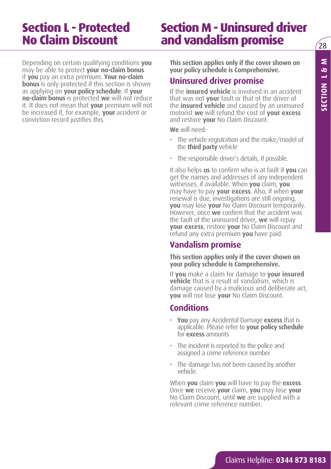# **Section L - Protected No Claim Discount**

# **Section M - Uninsured driver and vandalism promise**

Depending on certain qualifying conditions **you** may be able to protect **your no-claim bonus** if **you** pay an extra premium. **Your no-claim bonus** is only protected if this section is shown as applying on **your policy schedule**. If **your no-claim bonus** is protected **we** will not reduce it. It does not mean that **your** premium will not be increased if, for example, **your** accident or conviction record justifies this.

**This section applies only if the cover shown on your policy schedule is Comprehensive.**

#### **Uninsured driver promise**

If the **insured vehicle** is involved in an accident that was not **your** fault or that of the driver of the **insured vehicle** and caused by an uninsured motorist **we** will refund the cost of **your excess** and restore **your** No Claim Discount.

**We** will need:

- The vehicle registration and the make/model of the **third party** vehicle
- The responsible driver's details, if possible.

It also helps **us** to confirm who is at fault if **you** can get the names and addresses of any independent witnesses, if available. When **you** claim, **you** may have to pay **your excess**. Also, if when **your**  renewal is due, investigations are still ongoing, **you** may lose **your** No Claim Discount temporarily. However, once **we** confirm that the accident was the fault of the uninsured driver, **we** will repay **your excess**, restore **your** No Claim Discount and refund any extra premium **you** have paid.

#### **Vandalism promise**

**This section applies only if the cover shown on your policy schedule is Comprehensive.**

If **you** make a claim for damage to **your insured vehicle** that is a result of vandalism, which is damage caused by a malicious and deliberate act, **you** will not lose **your** No Claim Discount.

#### **Conditions**

- **You** pay any Accidental Damage **excess** that is applicable. Please refer to **your policy schedule** for **excess** amounts
- The incident is reported to the police and assigned a crime reference number
- The damage has not been caused by another vehicle.

When **you** claim **you** will have to pay the **excess**. Once **we** receive **your** claim, **you** may lose **your** No Claim Discount, until **we** are supplied with a relevant crime reference number.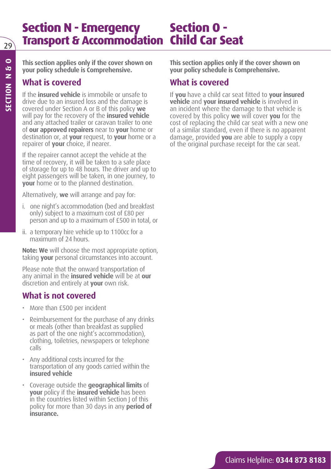#### **Section O - Child Car Seat Transport & Accommodation Section N - Emergency**

**This section applies only if the cover shown on your policy schedule is Comprehensive.**

#### **What is covered**

If the **insured vehicle** is immobile or unsafe to drive due to an insured loss and the damage is covered under Section A or B of this policy **we** will pay for the recovery of the **insured vehicle** and any attached trailer or caravan trailer to one of **our approved repairers** near to **your** home or destination or, at **your** request, to **your** home or a repairer of **your** choice, if nearer.

If the repairer cannot accept the vehicle at the time of recovery, it will be taken to a safe place of storage for up to 48 hours. The driver and up to eight passengers will be taken, in one journey, to **your** home or to the planned destination.

Alternatively, **we** will arrange and pay for:

- i. one night's accommodation (bed and breakfast only) subject to a maximum cost of £80 per person and up to a maximum of £500 in total, or
- ii. a temporary hire vehicle up to 1100cc for a maximum of 24 hours.

**Note: We** will choose the most appropriate option, taking **your** personal circumstances into account.

Please note that the onward transportation of any animal in the **insured vehicle** will be at **our** discretion and entirely at **your** own risk.

#### **What is not covered**

- More than £500 per incident
- Reimbursement for the purchase of any drinks or meals (other than breakfast as supplied as part of the one night's accommodation), clothing, toiletries, newspapers or telephone calls
- Any additional costs incurred for the transportation of any goods carried within the **insured vehicle**
- Coverage outside the **geographical limits** of **your** policy if the **insured vehicle** has been in the countries listed within Section J of this policy for more than 30 days in any **period of insurance.**

**This section applies only if the cover shown on your policy schedule is Comprehensive.** 

#### **What is covered**

If **you** have a child car seat fitted to **your insured vehicle** and **your insured vehicle** is involved in an incident where the damage to that vehicle is covered by this policy **we** will cover **you** for the cost of replacing the child car seat with a new one of a similar standard, even if there is no apparent damage, provided **you** are able to supply a copy of the original purchase receipt for the car seat.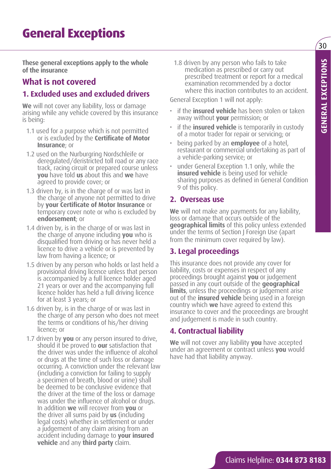# **General Exceptions**

**These general exceptions apply to the whole of the insurance**

#### **What is not covered**

#### **1. Excluded uses and excluded drivers**

**We** will not cover any liability, loss or damage arising while any vehicle covered by this insurance is being:

- 1.1 used for a purpose which is not permitted or is excluded by the **Certificate of Motor Insurance**; or
- 1.2 used on the Nurburgring Nordschleife or deregulated/deristricted toll road or any race track, racing circuit or prepared course unless **you** have told **us** about this and **we** have agreed to provide cover; or
- 1.3 driven by, is in the charge of or was last in the charge of anyone not permitted to drive by **your Certificate of Motor Insurance** or temporary cover note or who is excluded by **endorsement**; or
- 1.4 driven by, is in the charge of or was last in the charge of anyone including **you** who is disqualified from driving or has never held a licence to drive a vehicle or is prevented by law from having a licence; or
- 1.5 driven by any person who holds or last held a provisional driving licence unless that person is accompanied by a full licence holder aged 21 years or over and the accompanying full licence holder has held a full driving licence for at least 3 years; or
- 1.6 driven by, is in the charge of or was last in the charge of any person who does not meet the terms or conditions of his/her driving licence; or
- 1.7 driven by **you** or any person insured to drive, should it be proved to **our** satisfaction that the driver was under the influence of alcohol or drugs at the time of such loss or damage occurring. A conviction under the relevant law (including a conviction for failing to supply a specimen of breath, blood or urine) shall be deemed to be conclusive evidence that the driver at the time of the loss or damage was under the influence of alcohol or drugs. In addition **we** will recover from **you** or the driver all sums paid by **us** (including legal costs) whether in settlement or under a judgement of any claim arising from an accident including damage to **your insured vehicle** and any **third party** claim.

1.8 driven by any person who fails to take medication as prescribed or carry out prescribed treatment or report for a medical examination recommended by a doctor where this inaction contributes to an accident.

General Exception 1 will not apply:

- if the **insured vehicle** has been stolen or taken away without **your** permission; or
- if the **insured vehicle** is temporarily in custody of a motor trader for repair or servicing; or
- being parked by an **employee** of a hotel, restaurant or commercial undertaking as part of a vehicle-parking service; or
- under General Exception 1.1 only, while the **insured vehicle** is being used for vehicle sharing purposes as defined in General Condition 9 of this policy.

#### **2. Overseas use**

**We** will not make any payments for any liability, loss or damage that occurs outside of the **geographical limits** of this policy unless extended under the terms of Section J Foreign Use (apart from the minimum cover required by law).

#### **3. Legal proceedings**

This insurance does not provide any cover for liability, costs or expenses in respect of any proceedings brought against **you** or judgement passed in any court outside of the **geographical limits**, unless the proceedings or judgement arise out of the **insured vehicle** being used in a foreign country which **we** have agreed to extend this insurance to cover and the proceedings are brought and judgement is made in such country.

#### **4. Contractual liability**

**We** will not cover any liability **you** have accepted under an agreement or contract unless **you** would have had that liability anyway.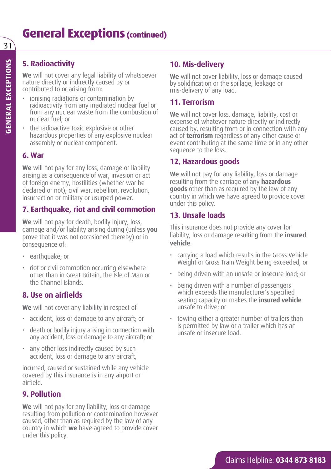# **General Exceptions (continued)**

#### **5. Radioactivity**

**We** will not cover any legal liability of whatsoever nature directly or indirectly caused by or contributed to or arising from:

- ionising radiations or contamination by radioactivity from any irradiated nuclear fuel or from any nuclear waste from the combustion of nuclear fuel; or
- the radioactive toxic explosive or other hazardous properties of any explosive nuclear assembly or nuclear component.

#### **6. War**

**We** will not pay for any loss, damage or liability arising as a consequence of war, invasion or act of foreign enemy, hostilities (whether war be declared or not), civil war, rebellion, revolution, insurrection or military or usurped power.

#### **7. Earthquake, riot and civil commotion**

**We** will not pay for death, bodily injury, loss, damage and/or liability arising during (unless **you** prove that it was not occasioned thereby) or in consequence of:

- earthquake; or
- riot or civil commotion occurring elsewhere other than in Great Britain, the Isle of Man or the Channel Islands.

#### **8. Use on airfields**

**We** will not cover any liability in respect of

- accident, loss or damage to any aircraft; or
- death or bodily injury arising in connection with any accident, loss or damage to any aircraft; or
- any other loss indirectly caused by such accident, loss or damage to any aircraft,

incurred, caused or sustained while any vehicle covered by this insurance is in any airport or airfield.

#### **9. Pollution**

**We** will not pay for any liability, loss or damage resulting from pollution or contamination however caused, other than as required by the law of any country in which **we** have agreed to provide cover under this policy.

#### **10. Mis-delivery**

**We** will not cover liability, loss or damage caused by solidification or the spillage, leakage or mis-delivery of any load.

#### **11. Terrorism**

**We** will not cover loss, damage, liability, cost or expense of whatever nature directly or indirectly caused by, resulting from or in connection with any act of **terrorism** regardless of any other cause or event contributing at the same time or in any other sequence to the loss.

#### **12. Hazardous goods**

**We** will not pay for any liability, loss or damage resulting from the carriage of any **hazardous goods** other than as required by the law of any country in which **we** have agreed to provide cover under this policy.

#### **13. Unsafe loads**

This insurance does not provide any cover for liability, loss or damage resulting from the **insured vehicle**:

- carrying a load which results in the Gross Vehicle Weight or Gross Train Weight being exceeded, or
- being driven with an unsafe or insecure load; or
- being driven with a number of passengers which exceeds the manufacturer's specified seating capacity or makes the **insured vehicle** unsafe to drive; or
- towing either a greater number of trailers than is permitted by law or a trailer which has an unsafe or insecure load.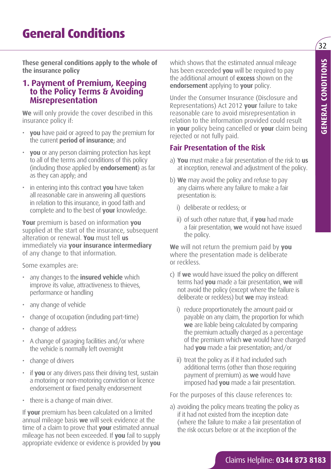$\overline{32}$ 

# **General Conditions**

**These general conditions apply to the whole of the insurance policy**

#### **1. Payment of Premium, Keeping to the Policy Terms & Avoiding Misrepresentation**

**We** will only provide the cover described in this insurance policy if:

- **you** have paid or agreed to pay the premium for the current **period of insurance**; and
- **you** or any person claiming protection has kept to all of the terms and conditions of this policy (including those applied by **endorsement**) as far as they can apply; and
- in entering into this contract **you** have taken all reasonable care in answering all questions in relation to this insurance, in good faith and complete and to the best of **your** knowledge.

**Your** premium is based on information **you** supplied at the start of the insurance, subsequent alteration or renewal. **You** must tell **us** immediately via **your insurance intermediary** of any change to that information.

Some examples are:

- any changes to the **insured vehicle** which improve its value, attractiveness to thieves, performance or handling
- any change of vehicle
- change of occupation (including part-time)
- change of address
- A change of garaging facilities and/or where the vehicle is normally left overnight
- change of drivers
- if **you** or any drivers pass their driving test, sustain a motoring or non-motoring conviction or licence endorsement or fixed penalty endorsement
- there is a change of main driver.

If **your** premium has been calculated on a limited annual mileage basis **we** will seek evidence at the time of a claim to prove that **your** estimated annual mileage has not been exceeded. If **you** fail to supply appropriate evidence or evidence is provided by **you** which shows that the estimated annual mileage has been exceeded **you** will be required to pay the additional amount of **excess** shown on the **endorsement** applying to **your** policy.

Under the Consumer Insurance (Disclosure and Representations) Act 2012 **your** failure to take reasonable care to avoid misrepresentation in relation to the information provided could result in **your** policy being cancelled or **your** claim being rejected or not fully paid.

#### **Fair Presentation of the Risk**

- a) **You** must make a fair presentation of the risk to **us** at inception, renewal and adjustment of the policy.
- b) **We** may avoid the policy and refuse to pay any claims where any failure to make a fair presentation is:
	- i) deliberate or reckless; or
	- ii) of such other nature that, if **you** had made a fair presentation, **we** would not have issued the policy.

**We** will not return the premium paid by **you** where the presentation made is deliberate or reckless.

- c) If **we** would have issued the policy on different terms had **you** made a fair presentation, **we** will not avoid the policy (except where the failure is deliberate or reckless) but **we** may instead:
	- i) reduce proportionately the amount paid or payable on any claim, the proportion for which **we** are liable being calculated by comparing the premium actually charged as a percentage of the premium which **we** would have charged had **you** made a fair presentation; and/or
	- ii) treat the policy as if it had included such additional terms (other than those requiring payment of premium) as **we** would have imposed had **you** made a fair presentation.

For the purposes of this clause references to:

a) avoiding the policy means treating the policy as if it had not existed from the inception date (where the failure to make a fair presentation of the risk occurs before or at the inception of the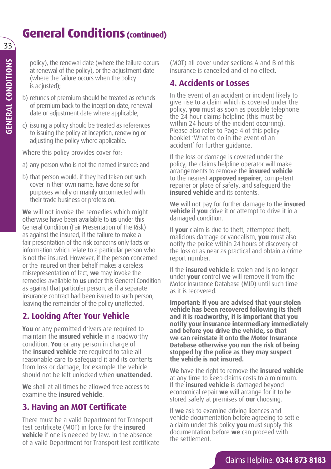# **General Conditions (continued)**

policy), the renewal date (where the failure occurs at renewal of the policy), or the adjustment date (where the failure occurs when the policy is adjusted):

- b) refunds of premium should be treated as refunds of premium back to the inception date, renewal date or adjustment date where applicable;
- c) issuing a policy should be treated as references to issuing the policy at inception, renewing or adjusting the policy where applicable.

Where this policy provides cover for:

- a) any person who is not the named insured; and
- b) that person would, if they had taken out such cover in their own name, have done so for purposes wholly or mainly unconnected with their trade business or profession.

**We** will not invoke the remedies which might otherwise have been available to **us** under this General Condition (Fair Presentation of the Risk) as against the insured, if the failure to make a fair presentation of the risk concerns only facts or information which relate to a particular person who is not the insured. However, if the person concerned or the insured on their behalf makes a careless misrepresentation of fact, **we** may invoke the remedies available to **us** under this General Condition as against that particular person, as if a separate insurance contract had been issued to such person, leaving the remainder of the policy unaffected.

#### **2. Looking After Your Vehicle**

**You** or any permitted drivers are required to maintain the **insured vehicle** in a roadworthy condition. **You** or any person in charge of the **insured vehicle** are required to take all reasonable care to safeguard it and its contents from loss or damage, for example the vehicle should not be left unlocked when **unattended**.

**We** shall at all times be allowed free access to examine the **insured vehicle**.

#### **3. Having an MOT Certificate**

There must be a valid Department for Transport test certificate (MOT) in force for the **insured vehicle** if one is needed by law. In the absence of a valid Department for Transport test certificate (MOT) all cover under sections A and B of this insurance is cancelled and of no effect.

#### **4. Accidents or Losses**

In the event of an accident or incident likely to give rise to a claim which is covered under the policy, **you** must as soon as possible telephone the 24 hour claims helpline (this must be within 24 hours of the incident occurring). Please also refer to Page 4 of this policy booklet 'What to do in the event of an accident' for further guidance.

If the loss or damage is covered under the policy, the claims helpline operator will make arrangements to remove the **insured vehicle** to the nearest **approved repairer**, competent repairer or place of safety, and safeguard the **insured vehicle** and its contents.

**We** will not pay for further damage to the **insured vehicle** if **you** drive it or attempt to drive it in a damaged condition.

If **your** claim is due to theft, attempted theft, malicious damage or vandalism, **you** must also notify the police within 24 hours of discovery of the loss or as near as practical and obtain a crime report number.

If the **insured vehicle** is stolen and is no longer under **your** control **we** will remove it from the Motor Insurance Database (MID) until such time as it is recovered.

**Important: If you are advised that your stolen vehicle has been recovered following its theft and it is roadworthy, it is important that you notify your insurance intermediary immediately and before you drive the vehicle, so that we can reinstate it onto the Motor Insurance Database otherwise you run the risk of being stopped by the police as they may suspect the vehicle is not insured.**

**We** have the right to remove the **insured vehicle** at any time to keep claims costs to a minimum. If the **insured vehicle** is damaged beyond economical repair **we** will arrange for it to be stored safely at premises of **our** choosing.

If **we** ask to examine driving licences and vehicle documentation before agreeing to settle a claim under this policy **you** must supply this documentation before **we** can proceed with the settlement.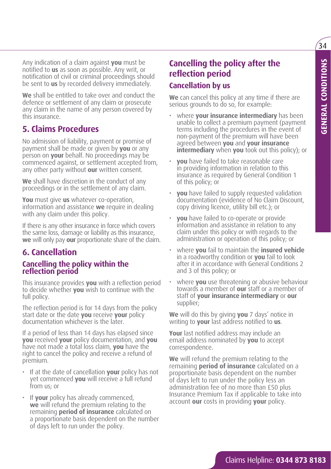Any indication of a claim against **you** must be notified to **us** as soon as possible. Any writ, or notification of civil or criminal proceedings should be sent to **us** by recorded delivery immediately.

**We** shall be entitled to take over and conduct the defence or settlement of any claim or prosecute any claim in the name of any person covered by this insurance.

#### **5. Claims Procedures**

No admission of liability, payment or promise of payment shall be made or given by **you** or any person on **your** behalf. No proceedings may be commenced against, or settlement accepted from, any other party without **our** written consent.

**We** shall have discretion in the conduct of any proceedings or in the settlement of any claim.

**You** must give **us** whatever co-operation. information and assistance **we** require in dealing with any claim under this policy.

If there is any other insurance in force which covers the same loss, damage or liability as this insurance, **we** will only pay **our** proportionate share of the claim.

#### **6. Cancellation**

#### **Cancelling the policy within the reflection period**

This insurance provides **you** with a reflection period to decide whether **you** wish to continue with the full policy.

The reflection period is for 14 days from the policy start date or the date **you** receive **your** policy documentation whichever is the later.

If a period of less than 14 days has elapsed since **you** received **your** policy documentation, and **you** have not made a total loss claim, **you** have the right to cancel the policy and receive a refund of premium.

- If at the date of cancellation **your** policy has not yet commenced **you** will receive a full refund from us; or
- If **your** policy has already commenced, **we** will refund the premium relating to the remaining **period of insurance** calculated on a proportionate basis dependent on the number of days left to run under the policy.

#### **Cancelling the policy after the reflection period Cancellation by us**

**We** can cancel this policy at any time if there are serious grounds to do so, for example:

- where **your insurance intermediary** has been unable to collect a premium payment (payment terms including the procedures in the event of non-payment of the premium will have been agreed between **you** and **your insurance intermediary** when **you** took out this policy); or
- **you** have failed to take reasonable care in providing information in relation to this insurance as required by General Condition 1 of this policy; or
- **you** have failed to supply requested validation documentation (evidence of No Claim Discount, copy driving licence, utility bill etc.); or
- **you** have failed to co-operate or provide information and assistance in relation to any claim under this policy or with regards to the administration or operation of this policy; or
- where **you** fail to maintain the **insured vehicle** in a roadworthy condition or **you** fail to look after it in accordance with General Conditions 2 and 3 of this policy; or
- where **you** use threatening or abusive behaviour towards a member of **our** staff or a member of staff of **your insurance intermediary** or **our** supplier;

**We** will do this by giving **you** 7 days' notice in writing to **your** last address notified to **us**.

**Your** last notified address may include an email address nominated by **you** to accept correspondence.

**We** will refund the premium relating to the remaining **period of insurance** calculated on a proportionate basis dependent on the number of days left to run under the policy less an administration fee of no more than £50 plus Insurance Premium Tax if applicable to take into account **our** costs in providing **your** policy.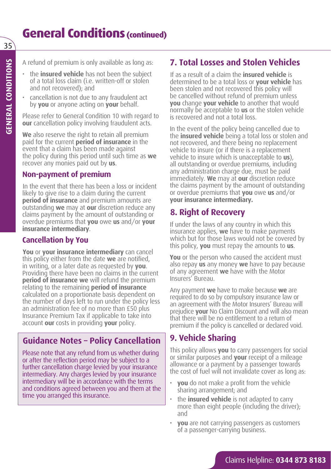# **General Conditions (continued)**

A refund of premium is only available as long as:

- the **insured vehicle** has not been the subject of a total loss claim (i.e. written-off or stolen and not recovered); and
- cancellation is not due to any fraudulent act by **you** or anyone acting on **your** behalf.

Please refer to General Condition 10 with regard to **our** cancellation policy involving fraudulent acts.

**We** also reserve the right to retain all premium paid for the current **period of insurance** in the event that a claim has been made against the policy during this period until such time as **we** recover any monies paid out by **us**.

#### **Non-payment of premium**

In the event that there has been a loss or incident likely to give rise to a claim during the current **period of insurance** and premium amounts are outstanding **we** may at **our** discretion reduce any claims payment by the amount of outstanding or overdue premiums that **you** owe **us** and/or **your insurance intermediary**.

#### **Cancellation by You**

**You** or **your insurance intermediary** can cancel this policy either from the date **we** are notified, in writing, or a later date as requested by **you**. Providing there have been no claims in the current **period of insurance we** will refund the premium relating to the remaining **period of insurance** calculated on a proportionate basis dependent on the number of days left to run under the policy less an administration fee of no more than £50 plus Insurance Premium Tax if applicable to take into account **our** costs in providing **your** policy.

#### **Guidance Notes – Policy Cancellation**

Please note that any refund from us whether during or after the reflection period may be subject to a further cancellation charge levied by your insurance intermediary. Any charges levied by your insurance intermediary will be in accordance with the terms and conditions agreed between you and them at the time you arranged this insurance.

### **7. Total Losses and Stolen Vehicles**

If as a result of a claim the **insured vehicle** is determined to be a total loss or **your vehicle** has been stolen and not recovered this policy will be cancelled without refund of premium unless **you** change **your vehicle** to another that would normally be acceptable to **us** or the stolen vehicle is recovered and not a total loss.

In the event of the policy being cancelled due to the **insured vehicle** being a total loss or stolen and not recovered, and there being no replacement vehicle to insure (or if there is a replacement vehicle to insure which is unacceptable to **us**), all outstanding or overdue premiums, including any administration charge due, must be paid immediately. **We** may at **our** discretion reduce the claims payment by the amount of outstanding or overdue premiums that **you** owe **us** and/or **your insurance intermediary.** 

### **8. Right of Recovery**

If under the laws of any country in which this insurance applies, **we** have to make payments which but for those laws would not be covered by this policy, **you** must repay the amounts to **us**.

**You** or the person who caused the accident must also repay **us** any money **we** have to pay because of any agreement **we** have with the Motor Insurers' Bureau.

Any payment **we** have to make because **we** are required to do so by compulsory insurance law or an agreement with the Motor Insurers' Bureau will prejudice **your** No Claim Discount and will also mean that there will be no entitlement to a return of premium if the policy is cancelled or declared void.

#### **9. Vehicle Sharing**

This policy allows **you** to carry passengers for social or similar purposes and **your** receipt of a mileage allowance or a payment by a passenger towards the cost of fuel will not invalidate cover as long as:

- **you** do not make a profit from the vehicle sharing arrangement; and
- the **insured vehicle** is not adapted to carry more than eight people (including the driver); and
- **you** are not carrying passengers as customers of a passenger-carrying business.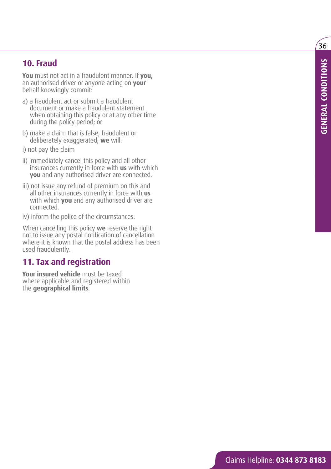#### **10. Fraud**

**You** must not act in a fraudulent manner. If **you,** an authorised driver or anyone acting on **your** behalf knowingly commit:

- a) a fraudulent act or submit a fraudulent document or make a fraudulent statement when obtaining this policy or at any other time during the policy period; or
- b) make a claim that is false, fraudulent or deliberately exaggerated, **we** will:
- i) not pay the claim
- ii) immediately cancel this policy and all other insurances currently in force with **us** with which **you** and any authorised driver are connected.
- iii) not issue any refund of premium on this and all other insurances currently in force with **us** with which **you** and any authorised driver are connected.
- iv) inform the police of the circumstances.

When cancelling this policy **we** reserve the right not to issue any postal notification of cancellation where it is known that the postal address has been used fraudulently.

#### **11. Tax and registration**

**Your insured vehicle** must be taxed where applicable and registered within the **geographical limits** .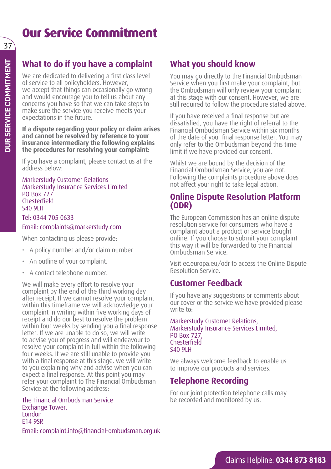# **Our Service Commitment**

#### **What to do if you have a complaint**

We are dedicated to delivering a first class level of service to all policyholders. However, we accept that things can occasionally go wrong and would encourage you to tell us about any concerns you have so that we can take steps to make sure the service you receive meets your expectations in the future.

#### **If a dispute regarding your policy or claim arises and cannot be resolved by reference to your insurance intermediary the following explains the procedures for resolving your complaint:**

If you have a complaint, please contact us at the address below:

Markerstudy Customer Relations Markerstudy Insurance Services Limited PO Box 727 Chesterfield S40 9LH

#### Tel: 0344 705 0633

Email: complaints@markerstudy.com

When contacting us please provide:

- A policy number and/or claim number
- An outline of your complaint.
- A contact telephone number.

We will make every effort to resolve your complaint by the end of the third working day after receipt. If we cannot resolve your complaint within this timeframe we will acknowledge your complaint in writing within five working days of receipt and do our best to resolve the problem within four weeks by sending you a final response letter. If we are unable to do so, we will write to advise you of progress and will endeavour to resolve your complaint in full within the following four weeks. If we are still unable to provide you with a final response at this stage, we will write to you explaining why and advise when you can expect a final response. At this point you may refer your complaint to The Financial Ombudsman Service at the following address:

The Financial Ombudsman Service Exchange Tower, London E14 9SR Email: complaint.info@financial-ombudsman.org.uk

#### **What you should know**

You may go directly to the Financial Ombudsman Service when you first make your complaint, but the Ombudsman will only review your complaint at this stage with our consent. However, we are still required to follow the procedure stated above.

If you have received a final response but are dissatisfied, you have the right of referral to the Financial Ombudsman Service within six months of the date of your final response letter. You may only refer to the Ombudsman beyond this time limit if we have provided our consent.

Whilst we are bound by the decision of the Financial Ombudsman Service, you are not. Following the complaints procedure above does not affect your right to take legal action.

#### **Online Dispute Resolution Platform (ODR)**

The European Commission has an online dispute resolution service for consumers who have a complaint about a product or service bought online. If you choose to submit your complaint this way it will be forwarded to the Financial Ombudsman Service.

Visit ec.europa.eu/odr to access the Online Dispute Resolution Service.

#### **Customer Feedback**

If you have any suggestions or comments about our cover or the service we have provided please write to:

Markerstudy Customer Relations, Markerstudy Insurance Services Limited, PO Box 727, Chesterfield S40 9LH

We always welcome feedback to enable us to improve our products and services.

#### **Telephone Recording**

For our joint protection telephone calls may be recorded and monitored by us.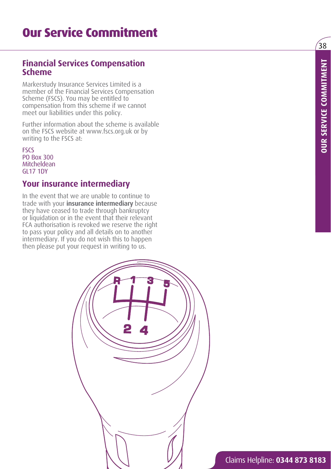# **Our Service Commitment**

#### **Financial Services Compensation Scheme**

Markerstudy Insurance Services Limited is a member of the Financial Services Compensation Scheme (FSCS). You may be entitled to compensation from this scheme if we cannot meet our liabilities under this policy.

Further information about the scheme is available on the FSCS website at www.fscs.org.uk or by writing to the FSCS at:

FSCS PO Box 300 Mitcheldean GL17 1DY

#### **Your insurance intermediary**

In the event that we are unable to continue to trade with your **insurance intermediary** because they have ceased to trade through bankruptcy or liquidation or in the event that their relevant FCA authorisation is revoked we reserve the right to pass your policy and all details on to another intermediary. If you do not wish this to happen then please put your request in writing to us.



 $\overline{38}$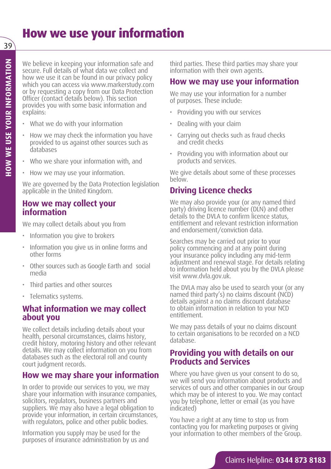# **How we use your information**

We believe in keeping your information safe and secure. Full details of what data we collect and how we use it can be found in our privacy policy which you can access via www.markerstudy.com or by requesting a copy from our Data Protection Officer (contact details below). This section provides you with some basic information and explains:

- What we do with your information
- How we may check the information you have provided to us against other sources such as databases
- Who we share your information with, and
- How we may use your information.

We are governed by the Data Protection legislation applicable in the United Kingdom.

#### **How we may collect your information**

We may collect details about you from

- Information you give to brokers
- Information you give us in online forms and other forms
- Other sources such as Google Earth and social media
- Third parties and other sources
- Telematics systems.

#### **What information we may collect about you**

We collect details including details about your health, personal circumstances, claims history, credit history, motoring history and other relevant details. We may collect information on you from databases such as the electoral roll and county court judgment records.

#### **How we may share your information**

In order to provide our services to you, we may share your information with insurance companies, solicitors, regulators, business partners and suppliers. We may also have a legal obligation to provide your information, in certain circumstances, with regulators, police and other public bodies.

Information you supply may be used for the purposes of insurance administration by us and third parties. These third parties may share your information with their own agents.

#### **How we may use your information**

We may use your information for a number of purposes. These include:

- Providing you with our services
- Dealing with your claim
- Carrying out checks such as fraud checks and credit checks
- Providing you with information about our products and services.

We give details about some of these processes below.

#### **Driving Licence checks**

We may also provide your (or any named third party) driving licence number (DLN) and other details to the DVLA to confirm licence status, entitlement and relevant restriction information and endorsement/conviction data.

Searches may be carried out prior to your policy commencing and at any point during your insurance policy including any mid-term adjustment and renewal stage. For details relating to information held about you by the DVLA please visit www.dvla.gov.uk.

The DVLA may also be used to search your (or any named third party's) no claims discount (NCD) details against a no claims discount database to obtain information in relation to your NCD entitlement.

We may pass details of your no claims discount to certain organisations to be recorded on a NCD database.

#### **Providing you with details on our Products and Services**

Where you have given us your consent to do so, we will send you information about products and services of ours and other companies in our Group which may be of interest to you. We may contact you by telephone, letter or email (as you have indicated)

You have a right at any time to stop us from contacting you for marketing purposes or giving your information to other members of the Group.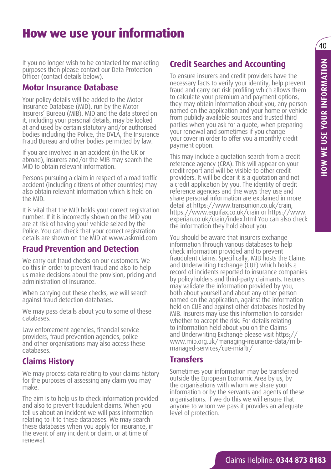# **How we use your information**

If you no longer wish to be contacted for marketing purposes then please contact our Data Protection Officer (contact details below).

#### **Motor Insurance Database**

Your policy details will be added to the Motor Insurance Database (MID), run by the Motor Insurers' Bureau (MIB). MID and the data stored on it, including your personal details, may be looked at and used by certain statutory and/or authorised bodies including the Police, the DVLA, the Insurance Fraud Bureau and other bodies permitted by law.

If you are involved in an accident (in the UK or abroad), insurers and/or the MIB may search the MID to obtain relevant information.

Persons pursuing a claim in respect of a road traffic accident (including citizens of other countries) may also obtain relevant information which is held on the MID.

It is vital that the MID holds your correct registration number. If it is incorrectly shown on the MID you are at risk of having your vehicle seized by the Police. You can check that your correct registration details are shown on the MID at www.askmid.com

#### **Fraud Prevention and Detection**

We carry out fraud checks on our customers. We do this in order to prevent fraud and also to help us make decisions about the provision, pricing and administration of insurance.

When carrying out these checks, we will search against fraud detection databases.

We may pass details about you to some of these databases.

Law enforcement agencies, financial service providers, fraud prevention agencies, police and other organisations may also access these databases.

#### **Claims History**

We may process data relating to your claims history for the purposes of assessing any claim you may make.

The aim is to help us to check information provided and also to prevent fraudulent claims. When you tell us about an incident we will pass information relating to it to these databases. We may search these databases when you apply for insurance, in the event of any incident or claim, or at time of renewal.

#### **Credit Searches and Accounting**

To ensure insurers and credit providers have the necessary facts to verify your identity, help prevent fraud and carry out risk profiling which allows them to calculate your premium and payment options, they may obtain information about you, any person named on the application and your home or vehicle from publicly available sources and trusted third parties when you ask for a quote, when preparing your renewal and sometimes if you change your cover in order to offer you a monthly credit payment option.

This may include a quotation search from a credit reference agency (CRA). This will appear on your credit report and will be visible to other credit providers. It will be clear it is a quotation and not a credit application by you. The identity of credit reference agencies and the ways they use and share personal information are explained in more detail at https://www.transunion.co.uk/crain, https://www.equifax.co.uk/crain or https://www. experian.co.uk/crain/index.html You can also check the information they hold about you.

You should be aware that insurers exchange information through various databases to help check information provided and to prevent fraudulent claims. Specifically, MIB hosts the Claims and Underwriting Exchange (CUE) which holds a record of incidents reported to insurance companies by policyholders and third-party claimants. Insurers may validate the information provided by you, both about yourself and about any other person named on the application, against the information held on CUE and against other databases hosted by MIB. Insurers may use this information to consider whether to accept the risk. For details relating to information held about you on the Claims and Underwriting Exchange please visit https:// www.mib.org.uk/managing-insurance-data/mibmanaged-services/cue-miaftr/

#### **Transfers**

Sometimes your information may be transferred outside the European Economic Area by us, by the organisations with whom we share your information or by the servants and agents of these organisations. If we do this we will ensure that anyone to whom we pass it provides an adequate level of protection.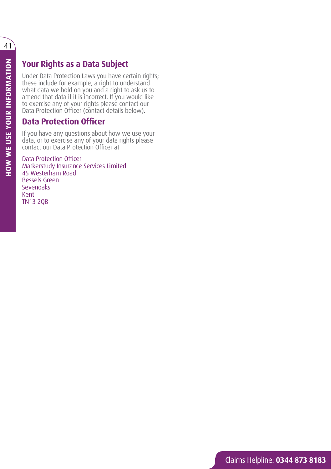#### **Your Rights as a Data Subject**

Under Data Protection Laws you have certain rights; these include for example, a right to understand what data we hold on you and a right to ask us to amend that data if it is incorrect. If you would like to exercise any of your rights please contact our Data Protection Officer (contact details below).

#### **Data Protection Officer**

If you have any questions about how we use your data, or to exercise any of your data rights please contact our Data Protection Officer at

Data Protection Officer Markerstudy Insurance Services Limited 45 Westerham Road Bessels Green Sevenoaks Kent TN13 2QB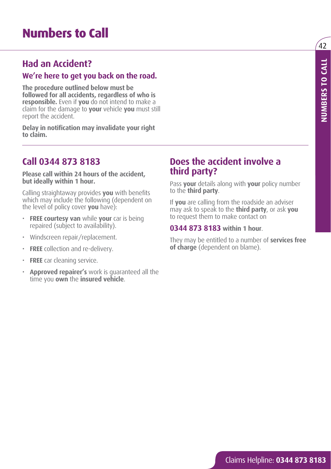# **Numbers to Call**

### **Had an Accident?**

#### **We're here to get you back on the road.**

**The procedure outlined below must be followed for all accidents, regardless of who is responsible.** Even if **you** do not intend to make a claim for the damage to **your** vehicle **you** must still report the accident.

**Delay in notification may invalidate your right to claim.**

#### **Call 0344 873 8183**

**Please call within 24 hours of the accident, but ideally within 1 hour.** 

Calling straightaway provides **you** with benefits which may include the following (dependent on the level of policy cover **you** have):

- **FREE courtesy van** while **your** car is being repaired (subject to availability).
- Windscreen repair/replacement.
- **FREE** collection and re-delivery.
- **FREE** car cleaning service.
- **Approved repairer's** work is guaranteed all the time you **own** the **insured vehicle**.

#### **Does the accident involve a third party?**

Pass **your** details along with **your** policy number to the **third party**.

If **you** are calling from the roadside an adviser may ask to speak to the **third party**, or ask **you** to request them to make contact on

#### **0344 873 8183 within 1 hour**.

They may be entitled to a number of **services free of charge** (dependent on blame).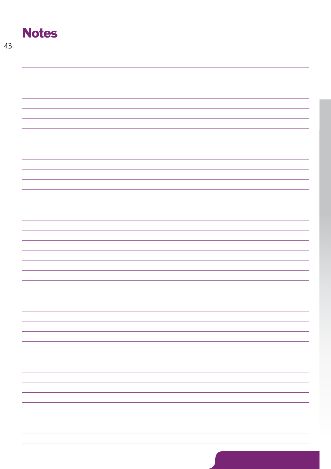# **Notes**